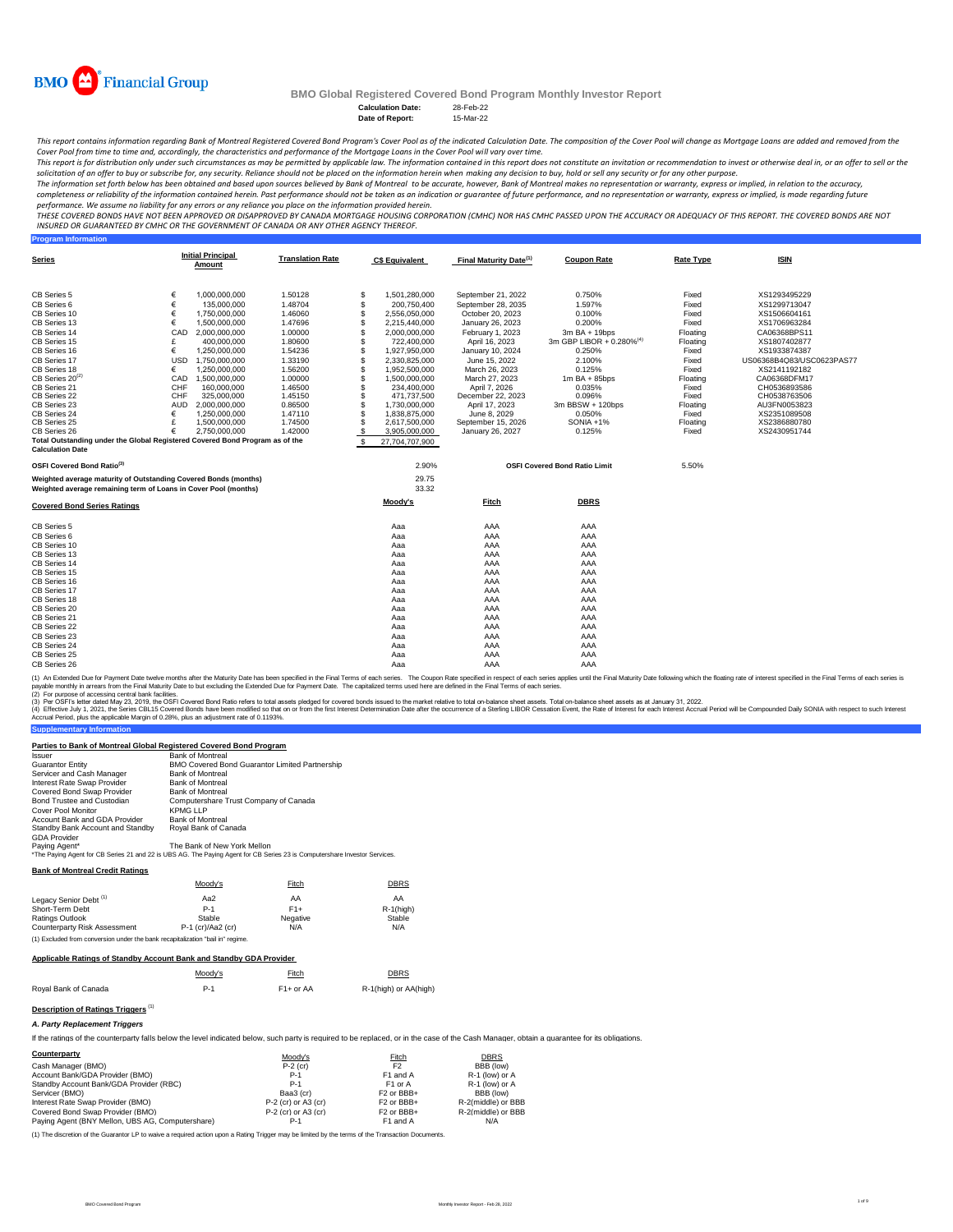

**Program Information**

# **BMO Global Registered Covered Bond Program Monthly Investor Report**

Calculation Date: 28-Feb-22<br>Date of Report: 15-Mar-22 **Date of Report:** 

This report contains information regarding Bank of Montreal Registered Covered Bond Program's Cover Pool as of the indicated Calculation Date. The composition of the Cover Pool will change as Mortgage Loans are added and r *Cover Pool from time to time and, accordingly, the characteristics and performance of the Mortgage Loans in the Cover Pool will vary over time.*

This report is for distribution only under such circumstances as may be permitted by applicable law. The information contained in this report does not constitute an invitation or recommendation to invest or otherwise deal

The information set forth below has been obtained and based upon sources believed by Bank of Montreal , bowever, Bank of Montreal makes no representation or warranty, express or implied, in relation to the accuracy,<br>comple

performance. We assume no liability for any errors or any reliance you place on the information provided herein.<br>THESE COVERED BONDS HAVE NOT BEEN APPROVED BY DANDEN ON DE TO KNAND MORTGGE HOUSING CORPORATION (CMHC) NOR HA *INSURED OR GUARANTEED BY CMHC OR THE GOVERNMENT OF CANADA OR ANY OTHER AGENCY THEREOF.*

| <b>Series</b>                                                                |            | <b>Initial Principal</b><br>Amount | <b>Translation Rate</b> |               | <b>C\$ Equivalent</b> | Final Maturity Date <sup>(1)</sup> | <b>Coupon Rate</b>                   | <b>Rate Type</b> | <b>ISIN</b>               |
|------------------------------------------------------------------------------|------------|------------------------------------|-------------------------|---------------|-----------------------|------------------------------------|--------------------------------------|------------------|---------------------------|
| CB Series 5                                                                  | €          | 1,000,000,000                      | 1.50128                 | \$            | 1,501,280,000         | September 21, 2022                 | 0.750%                               | Fixed            | XS1293495229              |
| CB Series 6                                                                  | €          | 135,000,000                        | 1.48704                 | \$            | 200.750.400           | September 28, 2035                 | 1.597%                               | Fixed            | XS1299713047              |
| CB Series 10                                                                 | €          | 1,750,000,000                      | 1.46060                 | \$            | 2,556,050,000         | October 20, 2023                   | 0.100%                               | Fixed            | XS1506604161              |
| CB Series 13                                                                 | €          | 1.500.000.000                      | 1.47696                 | \$            | 2,215,440,000         | January 26, 2023                   | 0.200%                               | Fixed            | XS1706963284              |
| CB Series 14                                                                 | CAD        | 2.000.000.000                      | 1.00000                 |               | 2.000.000.000         | February 1, 2023                   | $3m$ BA + 19bps                      | Floating         | CA06368BPS11              |
| CB Series 15                                                                 | £          | 400,000,000                        | 1.80600                 |               | 722,400,000           | April 16, 2023                     | 3m GBP LIBOR + 0.280% <sup>(4)</sup> | Floating         | XS1807402877              |
| CB Series 16                                                                 | €          | 1,250,000,000                      | 1.54236                 |               | 1,927,950,000         | January 10, 2024                   | 0.250%                               | Fixed            | XS1933874387              |
| CB Series 17                                                                 | <b>USD</b> | 1,750,000,000                      | 1.33190                 | S             | 2,330,825,000         | June 15, 2022                      | 2.100%                               | Fixed            | US06368B4Q83/USC0623PAS77 |
| CB Series 18                                                                 | €          | 1,250,000,000                      | 1.56200                 | S             | 1,952,500,000         | March 26, 2023                     | 0.125%                               | Fixed            | XS2141192182              |
| CB Series 20 <sup>(2)</sup>                                                  | CAD        | 1.500.000.000                      | 1.00000                 |               | 1.500.000.000         | March 27, 2023                     | $1m$ BA + 85bps                      | Floating         | CA06368DFM17              |
| CB Series 21                                                                 | CHF        | 160,000,000                        | 1.46500                 |               | 234,400,000           | April 7, 2026                      | 0.035%                               | Fixed            | CH0536893586              |
| CB Series 22                                                                 | CHF        | 325,000,000                        | 1.45150                 |               | 471,737,500           | December 22, 2023                  | 0.096%                               | Fixed            | CH0538763506              |
| CB Series 23                                                                 | AUD        | 2,000,000,000                      | 0.86500                 | S             | 1,730,000,000         | April 17, 2023                     | 3m BBSW + 120bps                     | Floating         | AU3FN0053823              |
| CB Series 24                                                                 | €          | 1,250,000,000                      | 1.47110                 |               | 1,838,875,000         | June 8, 2029                       | 0.050%                               | Fixed            | XS2351089508              |
| CB Series 25                                                                 | £          | 1,500,000,000                      | 1.74500                 |               | 2,617,500,000         | September 15, 2026                 | SONIA +1%                            | Floating         | XS2386880780              |
| CB Series 26                                                                 | €          | 2.750.000.000                      | 1.42000                 | \$            | 3,905,000,000         | January 26, 2027                   | 0.125%                               | Fixed            | XS2430951744              |
| Total Outstanding under the Global Registered Covered Bond Program as of the |            |                                    |                         | $\mathcal{R}$ | 27.704.707.900        |                                    |                                      |                  |                           |
| <b>Calculation Date</b>                                                      |            |                                    |                         |               |                       |                                    |                                      |                  |                           |
| OSFI Covered Bond Ratio <sup>(3)</sup>                                       |            |                                    |                         |               | 2.90%                 |                                    | <b>OSFI Covered Bond Ratio Limit</b> | 5.50%            |                           |
| Weighted average maturity of Outstanding Covered Bonds (months)              |            |                                    |                         |               | 29.75                 |                                    |                                      |                  |                           |
| Weighted average remaining term of Loans in Cover Pool (months)              |            |                                    |                         |               | 33.32                 |                                    |                                      |                  |                           |
| <b>Covered Bond Series Ratings</b>                                           |            |                                    |                         |               | Moody's               | Fitch                              | <b>DBRS</b>                          |                  |                           |
| CB Series 5                                                                  |            |                                    |                         |               | Aaa                   | AAA                                | AAA                                  |                  |                           |
| CB Series 6                                                                  |            |                                    |                         |               | Aaa                   | AAA                                | AAA                                  |                  |                           |
| CB Series 10                                                                 |            |                                    |                         |               | Aaa                   | AAA                                | AAA                                  |                  |                           |
| CB Series 13                                                                 |            |                                    |                         |               | Aaa                   | AAA                                | AAA                                  |                  |                           |
| CB Series 14                                                                 |            |                                    |                         |               | Aaa                   | AAA                                | AAA                                  |                  |                           |
| CB Series 15                                                                 |            |                                    |                         |               | Aaa                   | AAA                                | AAA                                  |                  |                           |
| CB Series 16                                                                 |            |                                    |                         |               | Aaa                   | AAA                                | AAA                                  |                  |                           |
| CB Series 17                                                                 |            |                                    |                         |               | Aaa                   | AAA                                | AAA                                  |                  |                           |
| CB Series 18                                                                 |            |                                    |                         |               | Aaa                   | AAA                                | AAA                                  |                  |                           |
| CB Series 20                                                                 |            |                                    |                         |               | Aaa                   | AAA                                | AAA                                  |                  |                           |
| CB Series 21                                                                 |            |                                    |                         |               | Aaa                   | AAA                                | AAA                                  |                  |                           |
| CB Series 22                                                                 |            |                                    |                         |               | Aaa                   | AAA                                | AAA                                  |                  |                           |
| CB Series 23                                                                 |            |                                    |                         |               | Aaa                   | AAA                                | AAA                                  |                  |                           |
| CB Series 24                                                                 |            |                                    |                         |               | Aaa                   | AAA                                | AAA                                  |                  |                           |
| CB Series 25                                                                 |            |                                    |                         |               | Aaa                   | AAA                                | AAA                                  |                  |                           |
| CB Series 26                                                                 |            |                                    |                         |               | Aaa                   | AAA                                | AAA                                  |                  |                           |

(1) An Extended Due for Payment Date twelve months after the Maturity Date has been specified in the Final of each series. The Coupon Rate specified in the Final Tems of each series is<br>payable monthy in arrears from the Fi

(2) For purpose of accessing central bank facilities.

(3) Per OSFI's letter dated May 23, 2019, the OSFI Covered Bond Ratio refers to total assets pledged for covered bonds issued to the market relative to total on-balance sheet assets. Total on-balance sheet assets as at Jan

#### **Parties to Bank of Montreal Global Registered Covered Bond Program**

| <b>Issuer</b>                    | <b>Bank of Montreal</b>                                                                                                    |
|----------------------------------|----------------------------------------------------------------------------------------------------------------------------|
| <b>Guarantor Entity</b>          | <b>BMO Covered Bond Guarantor Limited Partnership</b>                                                                      |
| Servicer and Cash Manager        | <b>Bank of Montreal</b>                                                                                                    |
| Interest Rate Swap Provider      | <b>Bank of Montreal</b>                                                                                                    |
| Covered Bond Swap Provider       | <b>Bank of Montreal</b>                                                                                                    |
| Bond Trustee and Custodian       | Computershare Trust Company of Canada                                                                                      |
| Cover Pool Monitor               | <b>KPMG LLP</b>                                                                                                            |
| Account Bank and GDA Provider    | <b>Bank of Montreal</b>                                                                                                    |
| Standby Bank Account and Standby | Roval Bank of Canada                                                                                                       |
| <b>GDA Provider</b>              |                                                                                                                            |
| Paying Agent*                    | The Bank of New York Mellon                                                                                                |
|                                  | *The Paying Agent for CB Series 21 and 22 is UBS AG. The Paying Agent for CB Series 23 is Computershare Investor Services. |

**Bank of Montreal Credit Ratings**

**Supplementary Information**

| Pann of Montreal Orcan Natilias                                                |                     |          |              |  |  |  |  |  |
|--------------------------------------------------------------------------------|---------------------|----------|--------------|--|--|--|--|--|
|                                                                                | Moodv's             | Fitch    | <b>DBRS</b>  |  |  |  |  |  |
| Legacy Senior Debt <sup>(1)</sup>                                              | Aa2                 | AA       | AA           |  |  |  |  |  |
| Short-Term Debt                                                                | $P-1$               | $F1+$    | $R-1$ (high) |  |  |  |  |  |
| Ratings Outlook                                                                | Stable              | Negative | Stable       |  |  |  |  |  |
| Counterparty Risk Assessment                                                   | $P-1$ (cr)/Aa2 (cr) | N/A      | N/A          |  |  |  |  |  |
| (1) Excluded from conversion under the bank recapitalization "bail in" regime. |                     |          |              |  |  |  |  |  |

#### **Applicable Ratings of Standby Account Bank and Standby GDA Provider**

|                      | Moody's | Fitch                  | <b>DBRS</b>           |
|----------------------|---------|------------------------|-----------------------|
| Roval Bank of Canada | $P-1$   | F <sub>1</sub> + or AA | R-1(high) or AA(high) |

# **Description of Ratings Triggers** (1)

# *A. Party Replacement Triggers*

If the ratings of the counterparty falls below the level indicated below, such party is required to be replaced, or in the case of the Cash Manager, obtain a guarantee for its obligations.

| Counterparty                                     | Moodv's               | Fitch                             | <b>DBRS</b>        |
|--------------------------------------------------|-----------------------|-----------------------------------|--------------------|
| Cash Manager (BMO)                               | $P-2$ (cr)            | F <sub>2</sub>                    | BBB (low)          |
| Account Bank/GDA Provider (BMO)                  | $P-1$                 | F1 and A                          | R-1 (low) or A     |
| Standby Account Bank/GDA Provider (RBC)          | $P-1$                 | F <sub>1</sub> or A               | R-1 (low) or A     |
| Servicer (BMO)                                   | Baa3 (cr)             | F <sub>2</sub> or BBB+            | BBB (low)          |
| Interest Rate Swap Provider (BMO)                | $P-2$ (cr) or A3 (cr) | F <sub>2</sub> or BB <sub>+</sub> | R-2(middle) or BBB |
| Covered Bond Swap Provider (BMO)                 | $P-2$ (cr) or A3 (cr) | F <sub>2</sub> or BB <sub>+</sub> | R-2(middle) or BBB |
| Paying Agent (BNY Mellon, UBS AG, Computershare) | $P-1$                 | F1 and A                          | N/A                |

(1) The discretion of the Guarantor LP to waive a required action upon a Rating Trigger may be limited by the terms of the Transaction Documents.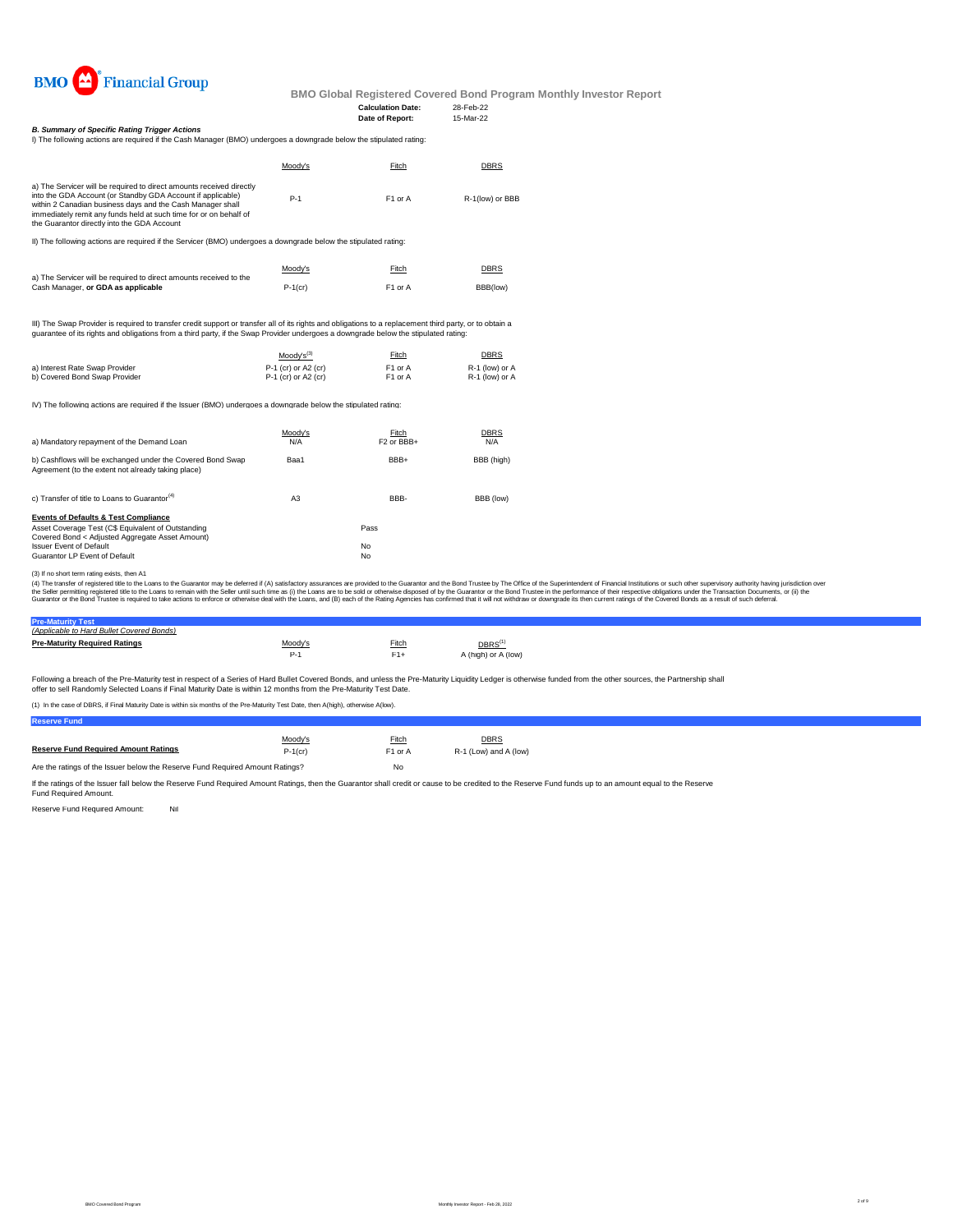

#### **Calculation Date:** 28-Feb-22<br> **Date of Report:** 15-Mar-22 **Date of Report:**

*B. Summary of Specific Rating Trigger Actions*

| Moody's | Fitch               | <b>DBRS</b>                                                                                                        |
|---------|---------------------|--------------------------------------------------------------------------------------------------------------------|
| $P-1$   | F <sub>1</sub> or A | R-1(low) or BBB                                                                                                    |
|         |                     | I) The following actions are required if the Cash Manager (BMO) undergoes a downgrade below the stipulated rating: |

II) The following actions are required if the Servicer (BMO) undergoes a downgrade below the stipulated rating:

|                                                                    | Moody's    | Fitch               | <b>DBRS</b> |
|--------------------------------------------------------------------|------------|---------------------|-------------|
| a) The Servicer will be required to direct amounts received to the |            |                     |             |
| Cash Manager, or GDA as applicable                                 | $P-1$ (cr) | F <sub>1</sub> or A | BBB(low)    |

III) The Swap Provider is required to transfer credit support or transfer all of its rights and obligations to a replacement third party, or to obtain a<br>guarantee of its rights and obligations from a third party, if the Sw

|                                | $Mody's^{(3)}$        | Fitch               | <b>DBRS</b>    |
|--------------------------------|-----------------------|---------------------|----------------|
| a) Interest Rate Swap Provider | $P-1$ (cr) or A2 (cr) | F <sub>1</sub> or A | R-1 (low) or A |
| b) Covered Bond Swap Provider  | $P-1$ (cr) or A2 (cr) | F1 or A             | R-1 (low) or A |

IV) The following actions are required if the Issuer (BMO) undergoes a downgrade below the stipulated rating:

| a) Mandatory repayment of the Demand Loan                                                                                                                                                                                   | Moody's<br>N/A | Fitch<br>F <sub>2</sub> or BB <sub>+</sub> | <b>DBRS</b><br>N/A |
|-----------------------------------------------------------------------------------------------------------------------------------------------------------------------------------------------------------------------------|----------------|--------------------------------------------|--------------------|
| b) Cashflows will be exchanged under the Covered Bond Swap<br>Agreement (to the extent not already taking place)                                                                                                            | Baa1           | BBB+                                       | BBB (high)         |
| c) Transfer of title to Loans to Guarantor <sup>(4)</sup>                                                                                                                                                                   | A <sub>3</sub> | BBB-                                       | BBB (low)          |
| <b>Events of Defaults &amp; Test Compliance</b><br>Asset Coverage Test (C\$ Equivalent of Outstanding<br>Covered Bond < Adjusted Aggregate Asset Amount)<br><b>Issuer Event of Default</b><br>Guarantor LP Event of Default |                | Pass<br>No<br>No                           |                    |

(3) If no short term rating exists, then A1

(4) The transfer of registered title to the Loans to the Guarantor may be deferred if (A) satisfactory assurances are provided to the Guarantor and the Bond Trustee by The Office of the Superintendent of Financial Institut

## **Pre-Maturity Test** *(Applicable to Hard Bullet Covered Bonds)*

| <b>Pre-Maturity Required Ratings</b> | Moodv's | Fitch | $\mathsf{DBRS}^\mathsf{(1)}$ |
|--------------------------------------|---------|-------|------------------------------|
|                                      |         |       | A (high) or A (low)          |

Following a breach of the Pre-Maturity test in respect of a Series of Hard Bullet Covered Bonds, and unless the Pre-Maturity Liquidity Ledger is otherwise funded from the other sources, the Partnership shall offer to sell Randomly Selected Loans if Final Maturity Date is within 12 months from the Pre-Maturity Test Date.

(1) In the case of DBRS, if Final Maturity Date is within six months of the Pre-Maturity Test Date, then A(high), otherwise A(low).

**Reserve Fund**

|                                                                               | Moody's    | Fitch               | DBRS                  |  |
|-------------------------------------------------------------------------------|------------|---------------------|-----------------------|--|
| <b>Reserve Fund Required Amount Ratings</b>                                   | $P-1$ (cr) | F <sub>1</sub> or A | R-1 (Low) and A (low) |  |
| Are the ratings of the Issuer below the Reserve Fund Reguired Amount Ratings? |            | No                  |                       |  |

If the ratings of the Issuer fall below the Reserve Fund Required Amount Ratings, then the Guarantor shall credit or cause to be credited to the Reserve Fund funds up to an amount equal to the Reserve<br>Fund Required Amount.

Reserve Fund Required Amount: Nil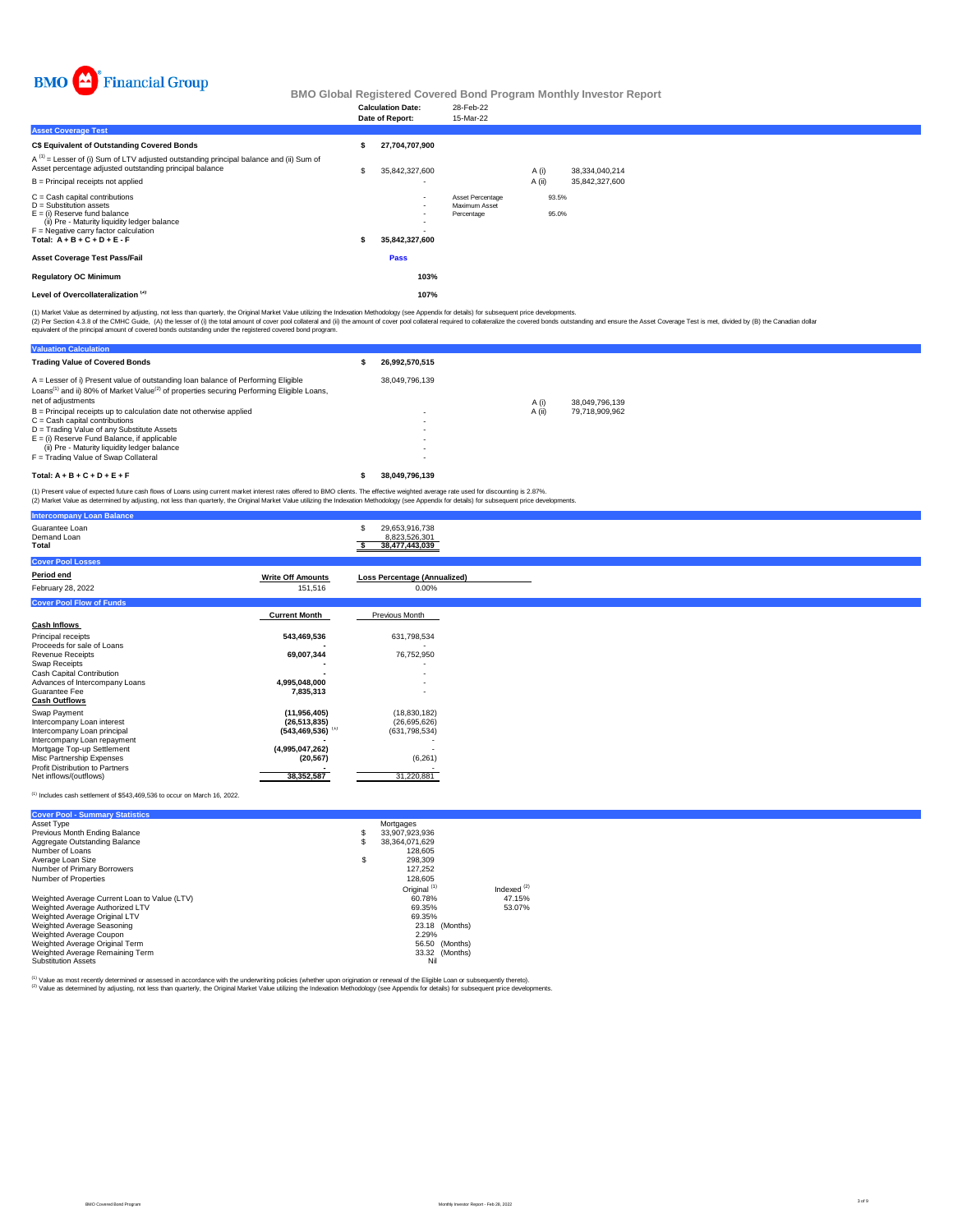

|                                                                                                                                                                                                                      | <b>Calculation Date:</b><br>Date of Report:      | 28-Feb-22<br>15-Mar-22                          |                |                |                                  |  |  |  |
|----------------------------------------------------------------------------------------------------------------------------------------------------------------------------------------------------------------------|--------------------------------------------------|-------------------------------------------------|----------------|----------------|----------------------------------|--|--|--|
| <b>Asset Coverage Test</b>                                                                                                                                                                                           |                                                  |                                                 |                |                |                                  |  |  |  |
| C\$ Equivalent of Outstanding Covered Bonds                                                                                                                                                                          | 27,704,707,900                                   |                                                 |                |                |                                  |  |  |  |
| $A^{(1)}$ = Lesser of (i) Sum of LTV adjusted outstanding principal balance and (ii) Sum of<br>Asset percentage adjusted outstanding principal balance<br>B = Principal receipts not applied                         | \$<br>35,842,327,600<br>$\overline{\phantom{0}}$ |                                                 | A(i)<br>A (ii) |                | 38,334,040,214<br>35,842,327,600 |  |  |  |
| C = Cash capital contributions<br>D = Substitution assets<br>E = (i) Reserve fund balance<br>(ii) Pre - Maturity liquidity ledger balance<br>F = Negative carry factor calculation<br>Total: $A + B + C + D + E - F$ | $\overline{\phantom{a}}$<br>35,842,327,600       | Asset Percentage<br>Maximum Asset<br>Percentage |                | 93.5%<br>95.0% |                                  |  |  |  |
| Asset Coverage Test Pass/Fail                                                                                                                                                                                        | Pass                                             |                                                 |                |                |                                  |  |  |  |
| <b>Regulatory OC Minimum</b>                                                                                                                                                                                         | 103%                                             |                                                 |                |                |                                  |  |  |  |
| Level of Overcollateralization <sup>(2)</sup>                                                                                                                                                                        | 107%                                             |                                                 |                |                |                                  |  |  |  |
|                                                                                                                                                                                                                      |                                                  |                                                 |                |                |                                  |  |  |  |

(1) Market Value as determined by adjusting, not less than quarterly, the Original Market Value utilizing the Indexation Methodology (see Appendix for details) for subsequent price developments.<br>(2) Per Section 4.3.8 of th

| <b>Valuation Calculation</b>                                                                                                                                                                                                                                                                   |                                                                                                              |        |                |
|------------------------------------------------------------------------------------------------------------------------------------------------------------------------------------------------------------------------------------------------------------------------------------------------|--------------------------------------------------------------------------------------------------------------|--------|----------------|
| <b>Trading Value of Covered Bonds</b>                                                                                                                                                                                                                                                          | 26.992.570.515                                                                                               |        |                |
| A = Lesser of i) Present value of outstanding loan balance of Performing Eligible<br>Loans <sup>(1)</sup> and ii) 80% of Market Value <sup>(2)</sup> of properties securing Performing Eligible Loans,<br>net of adjustments                                                                   | 38.049.796.139                                                                                               | A (i)  | 38.049.796.139 |
| B = Principal receipts up to calculation date not otherwise applied<br>$C =$ Cash capital contributions<br>D = Trading Value of any Substitute Assets<br>$E =$ (i) Reserve Fund Balance, if applicable<br>(ii) Pre - Maturity liquidity ledger balance<br>F = Trading Value of Swap Collateral | $\overline{\phantom{0}}$<br>$\overline{\phantom{0}}$<br>$\overline{\phantom{0}}$<br>$\overline{\phantom{a}}$ | A (ii) | 79.718.909.962 |
| Total: $A + B + C + D + E + F$                                                                                                                                                                                                                                                                 | 38.049.796.139                                                                                               |        |                |

(1) Present value of expected future cash flows of Loans using current market interest rates offered to BMO clients. The effective weighted average rate used for discounting is 2.87%.<br>(2) Market Value as determined by adju

| <b>Intercompany Loan Balance</b>                           |                                  |                                                   |
|------------------------------------------------------------|----------------------------------|---------------------------------------------------|
| Guarantee Loan<br>Demand Loan<br>Total                     |                                  | 29,653,916,738<br>8,823,526,301<br>38,477,443,039 |
| <b>Cover Pool Losses</b>                                   |                                  |                                                   |
| Period end                                                 | <b>Write Off Amounts</b>         | Loss Percentage (Annualized)                      |
| February 28, 2022                                          | 151,516                          | 0.00%                                             |
| <b>Cover Pool Flow of Funds</b>                            |                                  |                                                   |
|                                                            | <b>Current Month</b>             | Previous Month                                    |
| <b>Cash Inflows</b>                                        |                                  |                                                   |
| Principal receipts                                         | 543,469,536                      | 631,798,534                                       |
| Proceeds for sale of Loans                                 |                                  |                                                   |
| <b>Revenue Receipts</b><br>Swap Receipts                   | 69,007,344                       | 76,752,950                                        |
| Cash Capital Contribution                                  |                                  |                                                   |
| Advances of Intercompany Loans                             | 4,995,048,000                    |                                                   |
| Guarantee Fee                                              | 7,835,313                        |                                                   |
| <b>Cash Outflows</b>                                       |                                  |                                                   |
| Swap Payment                                               | (11, 956, 405)                   | (18, 830, 182)                                    |
| Intercompany Loan interest                                 | (26, 513, 835)                   | (26,695,626)                                      |
| Intercompany Loan principal<br>Intercompany Loan repayment | $(543, 469, 536)$ <sup>(1)</sup> | (631, 798, 534)                                   |
| Mortgage Top-up Settlement                                 | (4,995,047,262)                  |                                                   |
| Misc Partnership Expenses                                  | (20, 567)                        | (6,261)                                           |
| Profit Distribution to Partners                            |                                  |                                                   |
| Net inflows/(outflows)                                     | 38,352,587                       | 31,220,881                                        |

#### (1) Includes cash settlement of \$543,469,536 to occur on March 16, 2022.

| <b>Cover Pool - Summary Statistics</b>       |   |                         |                |               |
|----------------------------------------------|---|-------------------------|----------------|---------------|
| Asset Type                                   |   | Mortgages               |                |               |
| Previous Month Ending Balance                | s | 33.907.923.936          |                |               |
| Aggregate Outstanding Balance                | s | 38.364.071.629          |                |               |
| Number of Loans                              |   | 128.605                 |                |               |
| Average Loan Size                            | S | 298.309                 |                |               |
| Number of Primary Borrowers                  |   | 127.252                 |                |               |
| Number of Properties                         |   | 128,605                 |                |               |
|                                              |   | Original <sup>(1)</sup> |                | Indexed $(2)$ |
| Weighted Average Current Loan to Value (LTV) |   | 60.78%                  |                | 47.15%        |
| Weighted Average Authorized LTV              |   | 69.35%                  |                | 53.07%        |
| Weighted Average Original LTV                |   | 69.35%                  |                |               |
| Weighted Average Seasoning                   |   |                         | 23.18 (Months) |               |
| Weighted Average Coupon                      |   | 2.29%                   |                |               |
| Weighted Average Original Term               |   |                         | 56.50 (Months) |               |
| Weighted Average Remaining Term              |   |                         | 33.32 (Months) |               |
| <b>Substitution Assets</b>                   |   | Nil                     |                |               |

<sup>(1)</sup> Value as most recently determined or assessed in accordance with the underwriting policies (whether upon origination or renewal of the Eligible Loan or subsequently thereto).<br><sup>(2)</sup> Value as determined by adjusting, n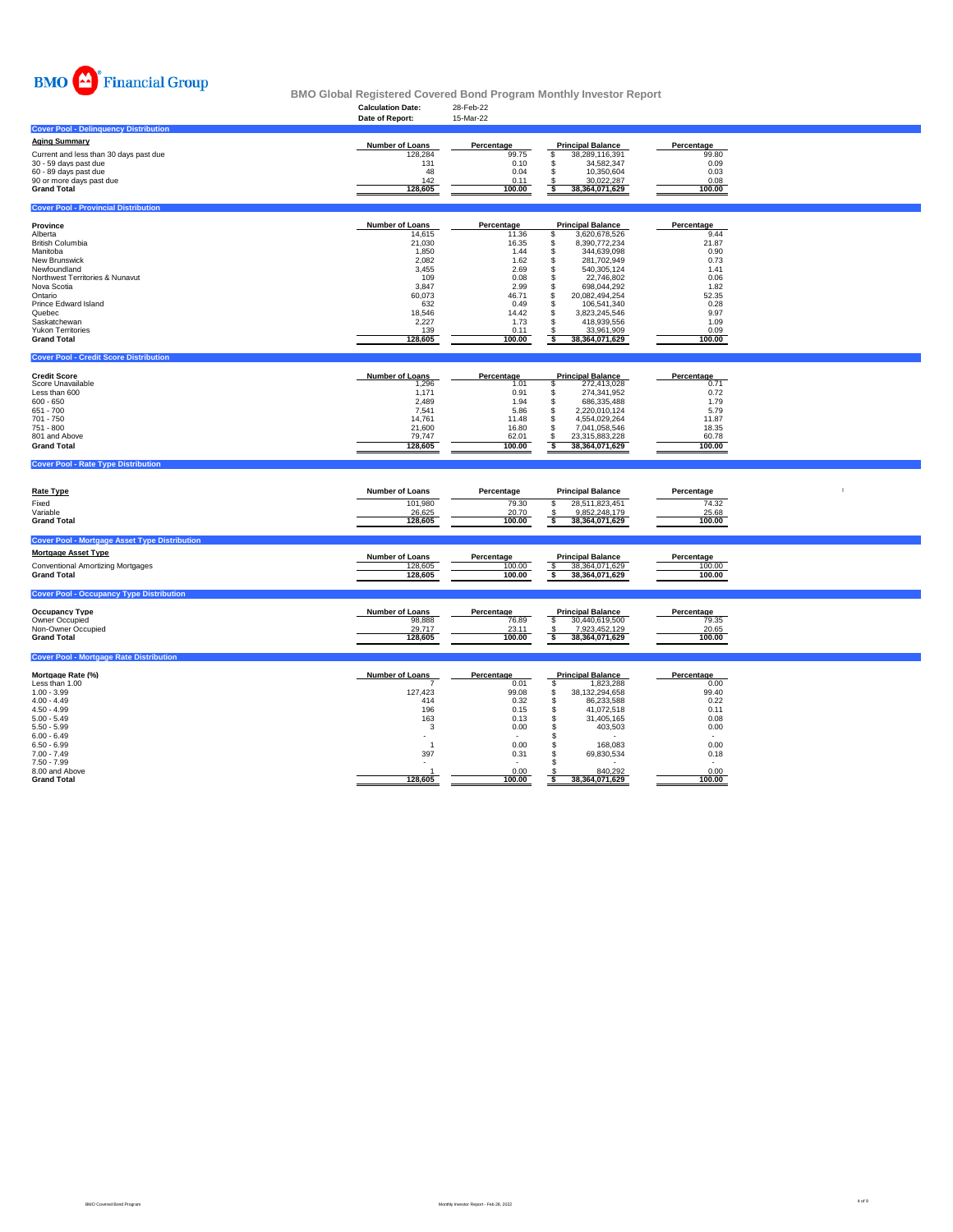

# **Calculation Date:** 28-Feb-22 **BMO Global Registered Covered Bond Program Monthly Investor Report**

|                                                         | anuanun batu<br>Date of Report: | 10102<br>15-Mar-22   |                                                                   |                                  |  |
|---------------------------------------------------------|---------------------------------|----------------------|-------------------------------------------------------------------|----------------------------------|--|
| <b>Cover Pool - Delinquency Distribution</b>            |                                 |                      |                                                                   |                                  |  |
| <b>Aging Summary</b>                                    |                                 |                      |                                                                   |                                  |  |
| Current and less than 30 days past due                  | Number of Loans<br>128.284      | Percentage<br>99.75  | <b>Principal Balance</b><br>\$<br>38,289,116,391                  | Percentage<br>99.80              |  |
| 30 - 59 days past due                                   | 131                             | 0.10                 | \$<br>34,582,347                                                  | 0.09                             |  |
| 60 - 89 days past due                                   | 48                              | 0.04                 | \$<br>10.350.604                                                  | 0.03                             |  |
| 90 or more days past due                                | 142                             | 0.11                 | 30,022,287                                                        | 0.08                             |  |
| <b>Grand Total</b>                                      | 128,605                         | 100.00               | 38, 364, 071, 629<br>-S                                           | 100.00                           |  |
| <b>Cover Pool - Provincial Distribution</b>             |                                 |                      |                                                                   |                                  |  |
| Province                                                | Number of Loans                 | Percentage           | <b>Principal Balance</b>                                          | Percentage                       |  |
| Alberta                                                 | 14,615                          | 11.36                | 3,620,678,526<br>\$                                               | 9.44                             |  |
| <b>British Columbia</b>                                 | 21,030                          | 16.35                | 8,390,772,234<br>S                                                | 21.87                            |  |
| Manitoba                                                | 1,850                           | 1.44                 | \$<br>344,639,098                                                 | 0.90                             |  |
| New Brunswick<br>Newfoundland                           | 2,082<br>3,455                  | 1.62<br>2.69         | \$<br>281,702,949<br>\$<br>540,305,124                            | 0.73<br>1.41                     |  |
| Northwest Territories & Nunavut                         | 109                             | 0.08                 | 22,746,802<br>\$                                                  | 0.06                             |  |
| Nova Scotia                                             | 3,847                           | 2.99                 | 698,044,292<br>s                                                  | 1.82                             |  |
| Ontario                                                 | 60,073                          | 46.71                | 20,082,494,254<br>$\mathfrak{L}$                                  | 52.35                            |  |
| Prince Edward Island                                    | 632                             | 0.49                 | 106,541,340<br>\$.                                                | 0.28                             |  |
| Quebec                                                  | 18,546                          | 14.42                | 3,823,245,546<br>£.                                               | 9.97                             |  |
| Saskatchewan<br><b>Yukon Territories</b>                | 2,227<br>139                    | 1.73<br>0.11         | 418,939,556<br>s<br>33,961,909                                    | 1.09<br>0.09                     |  |
| <b>Grand Total</b>                                      | 128,605                         | 100.00               | ं<br>38,364,071,629                                               | 100.00                           |  |
| <b>Cover Pool - Credit Score Distribution</b>           |                                 |                      |                                                                   |                                  |  |
|                                                         |                                 |                      |                                                                   |                                  |  |
| <b>Credit Score</b>                                     | <b>Number of Loans</b>          | Percentage           | <b>Principal Balance</b>                                          | Percentage                       |  |
| Score Unavailable<br>Less than 600                      | 1,296<br>1.171                  | 1.01<br>0.91         | 272,413,028<br>s<br>274,341,952<br>\$.                            | 0.71<br>0.72                     |  |
| $600 - 650$                                             | 2,489                           | 1.94                 | s<br>686,335,488                                                  | 1.79                             |  |
| 651 - 700                                               | 7,541                           | 5.86                 | 2,220,010,124<br>\$                                               | 5.79                             |  |
| 701 - 750                                               | 14,761                          | 11.48                | \$<br>4,554,029,264                                               | 11.87                            |  |
| 751 - 800                                               | 21,600                          | 16.80                | \$<br>7,041,058,546                                               | 18.35                            |  |
| 801 and Above                                           | 79,747                          | 62.01<br>100.00      | 23,315,883,228<br>\$<br>$\overline{\mathbf{s}}$<br>38,364,071,629 | 60.78<br>100.00                  |  |
| <b>Grand Total</b>                                      | 128,605                         |                      |                                                                   |                                  |  |
|                                                         |                                 |                      |                                                                   |                                  |  |
| <b>Cover Pool - Rate Type Distribution</b>              |                                 |                      |                                                                   |                                  |  |
|                                                         |                                 |                      |                                                                   |                                  |  |
| <b>Rate Type</b>                                        | <b>Number of Loans</b>          | Percentage           | <b>Principal Balance</b>                                          | Percentage                       |  |
| Fixed                                                   | 101,980                         | 79.30                | 28,511,823,451<br><b>s</b>                                        | 74.32                            |  |
| Variable                                                | 26,625                          | 20.70                | 9,852,248,179                                                     | 25.68                            |  |
| <b>Grand Total</b>                                      | 128,605                         | 100.00               | s<br>38,364,071,629                                               | 100.00                           |  |
| <b>Cover Pool - Mortgage Asset Type Distribution</b>    |                                 |                      |                                                                   |                                  |  |
| <b>Mortgage Asset Type</b>                              |                                 |                      |                                                                   |                                  |  |
|                                                         | Number of Loans                 | Percentage<br>100.00 | <b>Principal Balance</b>                                          | Percentage<br>100.00             |  |
| Conventional Amortizing Mortgages<br><b>Grand Total</b> | 128,605<br>128,605              | 100.00               | 38,364,071,629<br>\$<br>s<br>38,364,071,629                       | 100.00                           |  |
| <b>Cover Pool - Occupancy Type Distribution</b>         |                                 |                      |                                                                   |                                  |  |
|                                                         |                                 |                      |                                                                   |                                  |  |
| <b>Occupancy Type</b>                                   | <b>Number of Loans</b>          | Percentage           | <b>Principal Balance</b>                                          | Percentage                       |  |
| Owner Occupied<br>Non-Owner Occupied                    | 98,888<br>29,717                | 76.89<br>23.11       | \$<br>30,440,619,500<br>7,923,452,129<br>-S                       | 79.35<br>20.65                   |  |
| <b>Grand Total</b>                                      | 128,605                         | 100.00               | s<br>38, 364, 071, 629                                            | 100.00                           |  |
| <b>Cover Pool - Mortgage Rate Distribution</b>          |                                 |                      |                                                                   |                                  |  |
|                                                         |                                 |                      |                                                                   |                                  |  |
| Mortgage Rate (%)<br>Less than 1.00                     | <b>Number of Loans</b>          | Percentage           | <b>Principal Balance</b>                                          | Percentage<br>0.00               |  |
| $1.00 - 3.99$                                           | 127,423                         | 0.01<br>99.08        | $\sqrt{3}$<br>1,823,288<br>\$<br>38,132,294,658                   | 99.40                            |  |
| $4.00 - 4.49$                                           | 414                             | 0.32                 | \$<br>86,233,588                                                  | 0.22                             |  |
| $4.50 - 4.99$                                           | 196                             | 0.15                 | \$<br>41,072,518                                                  | 0.11                             |  |
| $5.00 - 5.49$                                           | 163                             | 0.13                 | $\mathbb S$<br>31,405,165                                         | 0.08                             |  |
| $5.50 - 5.99$<br>$6.00 - 6.49$                          | 3                               | 0.00                 | \$<br>403,503                                                     | 0.00<br>$\overline{\phantom{a}}$ |  |
| $6.50 - 6.99$                                           | $\overline{1}$                  | 0.00                 | <b>S</b><br><b>S</b><br>168.083                                   | 0.00                             |  |
| $7.00 - 7.49$                                           | 397                             | 0.31                 | \$<br>69,830,534                                                  | 0.18                             |  |
| 7.50 - 7.99                                             |                                 |                      | s                                                                 |                                  |  |
| 8.00 and Above<br><b>Grand Total</b>                    | 128,605                         | 0.00<br>100.00       | 840,292<br>38,364,071,629<br>ŝ.                                   | 0.00<br>100.00                   |  |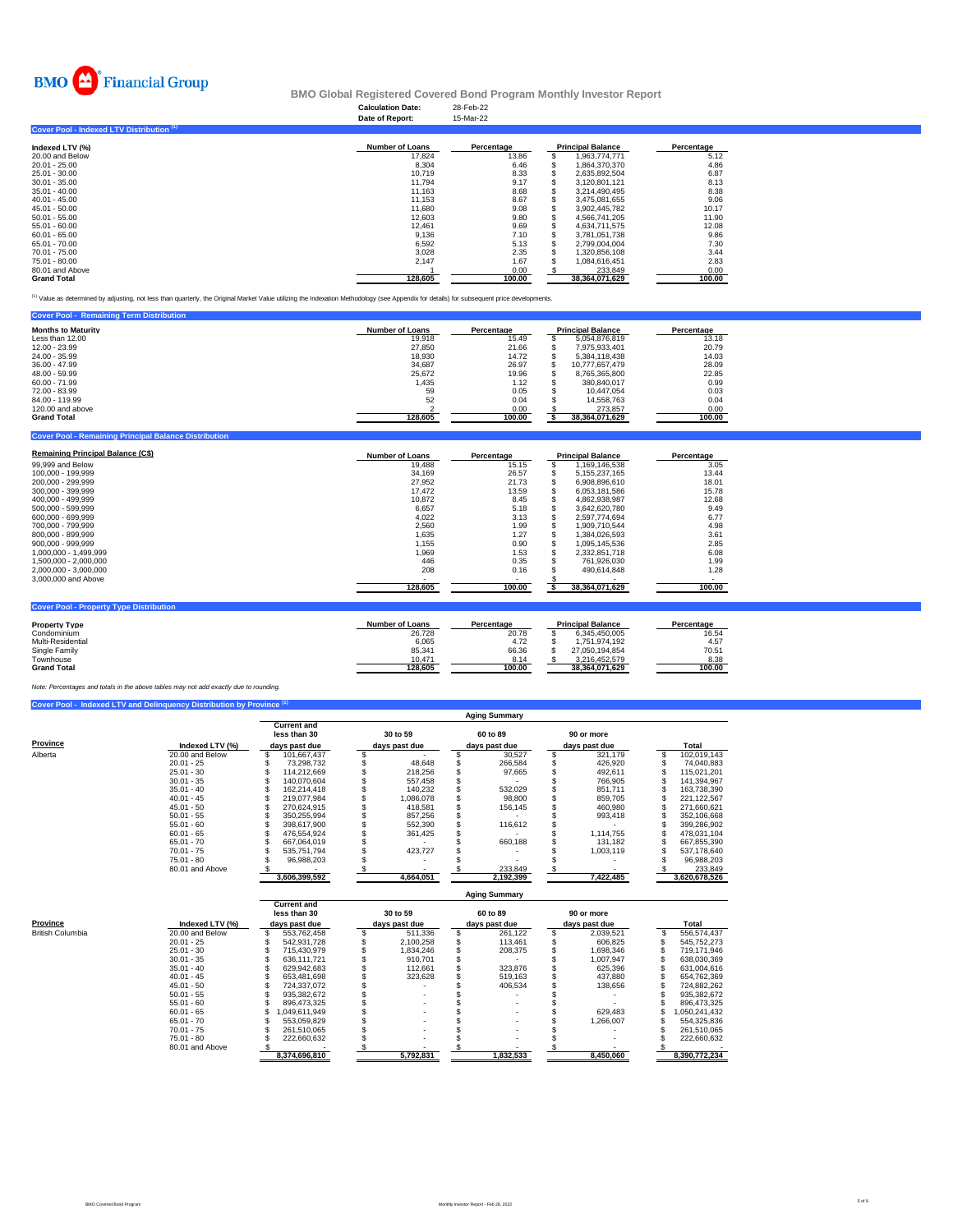

### **Calculation Date:** 28-Feb-22 **BMO Global Registered Covered Bond Program Monthly Investor Report**

|                                           | Date of Report:        | 15-Mar-22  |                          |            |
|-------------------------------------------|------------------------|------------|--------------------------|------------|
| Cover Pool - Indexed LTV Distribution (1) |                        |            |                          |            |
| Indexed LTV (%)                           | <b>Number of Loans</b> | Percentage | <b>Principal Balance</b> | Percentage |
| 20.00 and Below                           | 17,824                 | 13.86      | 1,963,774,771            | 5.12       |
| 20.01 - 25.00                             | 8.304                  | 6.46       | 1.864.370.370            | 4.86       |
| 25.01 - 30.00                             | 10,719                 | 8.33       | 2.635.892.504            | 6.87       |
| $30.01 - 35.00$                           | 11,794                 | 9.17       | 3,120,801,121            | 8.13       |
| 35.01 - 40.00                             | 11.163                 | 8.68       | 3.214.490.495            | 8.38       |
| $40.01 - 45.00$                           | 11.153                 | 8.67       | 3.475.081.655            | 9.06       |
| 45.01 - 50.00                             | 11.680                 | 9.08       | 3.902.445.782            | 10.17      |
| $50.01 - 55.00$                           | 12.603                 | 9.80       | 4.566.741.205            | 11.90      |
| 55.01 - 60.00                             | 12,461                 | 9.69       | 4.634.711.575            | 12.08      |
| 60.01 - 65.00                             | 9,136                  | 7.10       | 3,781,051,738            | 9.86       |
| 65.01 - 70.00                             | 6,592                  | 5.13       | 2,799,004,004            | 7.30       |
| 70.01 - 75.00                             | 3,028                  | 2.35       | 1,320,856,108            | 3.44       |
| 75.01 - 80.00                             | 2.147                  | 1.67       | 1.084.616.451            | 2.83       |
| 80.01 and Above                           |                        | 0.00       | 233.849                  | 0.00       |
| <b>Grand Total</b>                        | 128.605                | 100.00     | 38, 364, 071, 629        | 100.00     |

(1) Value as determined by adjusting, not less than quarterly, the Original Market Value utilizing the Indexation Methodology (see Appendix for details) for subsequent price developments.

| <b>Cover Pool - Remaining Term Distribution</b> |                        |            |                          |            |
|-------------------------------------------------|------------------------|------------|--------------------------|------------|
| <b>Months to Maturity</b>                       | <b>Number of Loans</b> | Percentage | <b>Principal Balance</b> | Percentage |
| Less than 12.00                                 | 19.918                 | 15.49      | 5,054,876,819            | 13.18      |
| 12.00 - 23.99                                   | 27,850                 | 21.66      | 7.975.933.401            | 20.79      |
| 24.00 - 35.99                                   | 18.930                 | 14.72      | 5.384.118.438            | 14.03      |
| 36.00 - 47.99                                   | 34.687                 | 26.97      | 10.777.657.479           | 28.09      |
| 48.00 - 59.99                                   | 25.672                 | 19.96      | 8.765.365.800            | 22.85      |
| $60.00 - 71.99$                                 | 1.435                  | 1.12       | 380.840.017              | 0.99       |
| 72.00 - 83.99                                   | 59                     | 0.05       | 10.447.054               | 0.03       |
| 84.00 - 119.99                                  | 52                     | 0.04       | 14.558.763               | 0.04       |
| 120,00 and above                                |                        | 0.00       | 273.857                  | 0.00       |
| <b>Grand Total</b>                              | 128.605                | 100.00     | 38, 364, 071, 629        | 100.00     |
|                                                 |                        |            |                          |            |

| <b>Remaining Principal Balance (C\$)</b>       | Number of Loans        | Percentage               | <b>Principal Balance</b> | Percentage                |  |
|------------------------------------------------|------------------------|--------------------------|--------------------------|---------------------------|--|
| 99,999 and Below                               | 19,488                 | 15.15                    | 1,169,146,538            | 3.05                      |  |
| 100.000 - 199.999                              | 34,169                 | 26.57                    | 5,155,237,165            | 13.44                     |  |
| 200.000 - 299.999                              | 27,952                 | 21.73                    | 6,908,896,610            | 18.01                     |  |
| 300.000 - 399.999                              | 17.472                 | 13.59                    | 6.053.181.586            | 15.78                     |  |
| 400.000 - 499.999                              | 10.872                 | 8.45                     | 4.862.938.987            | 12.68                     |  |
| 500.000 - 599.999                              | 6.657                  | 5.18                     | 3.642.620.780            | 9.49                      |  |
| 600.000 - 699.999                              | 4.022                  | 3.13                     | 2.597.774.694            | 6.77                      |  |
| 700.000 - 799.999                              | 2.560                  | 1.99                     | 1.909.710.544            | 4.98                      |  |
| 800.000 - 899.999                              | 1.635                  | 1.27                     | 1.384.026.593            | 3.61                      |  |
| 900.000 - 999.999                              | 1,155                  | 0.90                     | 1.095.145.536            | 2.85                      |  |
| 1.000.000 - 1.499.999                          | 1,969                  | 1.53                     | 2,332,851,718            | 6.08                      |  |
| 1,500,000 - 2,000,000                          | 446                    | 0.35                     | 761.926.030              | 1.99                      |  |
| 2,000,000 - 3,000,000                          | 208                    | 0.16                     | 490.614.848              | 1.28                      |  |
| 3,000,000 and Above                            |                        | $\overline{\phantom{a}}$ |                          |                           |  |
|                                                | 128,605                | 100.00                   | 38.364.071.629           | 100.00                    |  |
| <b>Cover Pool - Property Type Distribution</b> |                        |                          |                          |                           |  |
| <b>Property Type</b>                           | <b>Number of Loans</b> | Percentage               | <b>Principal Balance</b> | Percentage<br><b>1654</b> |  |
| Condominium                                    | 26.728                 | 20.79                    | 6.345.450.005            |                           |  |

| <b>FIUDEILY IVDE</b> | <b>NUMBER OF LOGIS</b> | ⊤ σι ναπιανα | r muulual Dalanu <del>c</del> | <b>Γ σι νοπιανο</b> |
|----------------------|------------------------|--------------|-------------------------------|---------------------|
| Condominium          | 26.728                 | 20.78        | 6.345.450.005                 | 16.54               |
| Multi-Residential    | 6.065                  | 4.72         | 1.751.974.192                 | 4.57                |
| Single Family        | 85.341                 | 66.36        | 27.050.194.854                | 70.51               |
| Townhouse            | 10.471                 | 8.14         | 3.216.452.579                 | 8.38                |
| <b>Grand Total</b>   | 128.605                | 100.00       | 38.364.071.629                | 100.00              |
|                      |                        |              |                               |                     |

*Note: Percentages and totals in the above tables may not add exactly due to rounding.*

**ng Principal Ba** 

|                     |                 | <b>Aging Summary</b>                                                   |               |               |           |  |               |  |               |  |               |
|---------------------|-----------------|------------------------------------------------------------------------|---------------|---------------|-----------|--|---------------|--|---------------|--|---------------|
|                     |                 | <b>Current and</b><br>less than 30<br>Indexed LTV (%)<br>days past due |               | 30 to 59      |           |  | 60 to 89      |  | 90 or more    |  |               |
| Province<br>Alberta |                 |                                                                        |               | days past due |           |  | days past due |  | days past due |  | Total         |
|                     | 20.00 and Below |                                                                        | 101.667.437   |               |           |  | 30,527        |  | 321.179       |  | 102.019.143   |
|                     | $20.01 - 25$    |                                                                        | 73.298.732    |               | 48,648    |  | 266,584       |  | 426.920       |  | 74,040,883    |
|                     | $25.01 - 30$    |                                                                        | 114.212.669   |               | 218,256   |  | 97.665        |  | 492.611       |  | 115.021.201   |
|                     | $30.01 - 35$    |                                                                        | 140.070.604   |               | 557.458   |  |               |  | 766.905       |  | 141.394.967   |
|                     | $35.01 - 40$    |                                                                        | 162.214.418   |               | 140.232   |  | 532.029       |  | 851.711       |  | 163.738.390   |
|                     | $40.01 - 45$    |                                                                        | 219.077.984   |               | 1.086.078 |  | 98,800        |  | 859.705       |  | 221.122.567   |
|                     | $45.01 - 50$    |                                                                        | 270.624.915   |               | 418.581   |  | 156.145       |  | 460.980       |  | 271.660.621   |
|                     | $50.01 - 55$    |                                                                        | 350.255.994   |               | 857.256   |  |               |  | 993.418       |  | 352.106.668   |
|                     | $55.01 - 60$    |                                                                        | 398.617.900   |               | 552,390   |  | 116,612       |  |               |  | 399.286.902   |
|                     | $60.01 - 65$    |                                                                        | 476.554.924   |               | 361,425   |  |               |  | 1.114.755     |  | 478.031.104   |
|                     | $65.01 - 70$    |                                                                        | 667.064.019   |               |           |  | 660,188       |  | 131,182       |  | 667,855,390   |
|                     | $70.01 - 75$    |                                                                        | 535.751.794   |               | 423,727   |  |               |  | 1,003,119     |  | 537.178.640   |
|                     | $75.01 - 80$    |                                                                        | 96,988,203    |               |           |  |               |  |               |  | 96.988.203    |
|                     | 80.01 and Above |                                                                        |               |               |           |  | 233,849       |  |               |  | 233,849       |
|                     |                 |                                                                        | 3,606,399,592 |               | 4,664,051 |  | 2,192,399     |  | 7,422,485     |  | 3,620,678,526 |

|                             |                 | <b>Aging Summary</b> |                                                     |  |                           |  |                           |  |                             |  |               |
|-----------------------------|-----------------|----------------------|-----------------------------------------------------|--|---------------------------|--|---------------------------|--|-----------------------------|--|---------------|
| Province<br>Indexed LTV (%) |                 |                      | <b>Current and</b><br>less than 30<br>days past due |  | 30 to 59<br>days past due |  | 60 to 89<br>days past due |  | 90 or more<br>days past due |  | Total         |
| <b>British Columbia</b>     | 20.00 and Below |                      | 553.762.458                                         |  | 511.336                   |  | 261.122                   |  | 2,039,521                   |  | 556.574.437   |
|                             | $20.01 - 25$    |                      | 542.931.728                                         |  | 2.100.258                 |  | 113.461                   |  | 606.825                     |  | 545.752.273   |
|                             | $25.01 - 30$    |                      | 715.430.979                                         |  | 1.834.246                 |  | 208.375                   |  | 1.698.346                   |  | 719.171.946   |
|                             | $30.01 - 35$    |                      | 636.111.721                                         |  | 910.701                   |  |                           |  | 1.007.947                   |  | 638.030.369   |
|                             | $35.01 - 40$    |                      | 629.942.683                                         |  | 112.661                   |  | 323.876                   |  | 625.396                     |  | 631.004.616   |
|                             | $40.01 - 45$    |                      | 653.481.698                                         |  | 323.628                   |  | 519.163                   |  | 437.880                     |  | 654.762.369   |
|                             | $45.01 - 50$    |                      | 724.337.072                                         |  |                           |  | 406.534                   |  | 138,656                     |  | 724.882.262   |
|                             | $50.01 - 55$    |                      | 935.382.672                                         |  |                           |  |                           |  |                             |  | 935.382.672   |
|                             | $55.01 - 60$    |                      | 896.473.325                                         |  |                           |  |                           |  |                             |  | 896.473.325   |
|                             | $60.01 - 65$    |                      | 049.611.949                                         |  |                           |  |                           |  | 629.483                     |  | 1.050.241.432 |
|                             | $65.01 - 70$    |                      | 553.059.829                                         |  |                           |  |                           |  | 1.266.007                   |  | 554.325.836   |
|                             | $70.01 - 75$    |                      | 261.510.065                                         |  |                           |  |                           |  |                             |  | 261,510,065   |
|                             | $75.01 - 80$    |                      | 222,660,632                                         |  |                           |  |                           |  |                             |  | 222.660.632   |
|                             | 80.01 and Above |                      |                                                     |  |                           |  |                           |  |                             |  |               |
|                             |                 |                      | 8.374.696.810                                       |  | 5.792.831                 |  | 1.832.533                 |  | 8.450.060                   |  | 8.390.772.234 |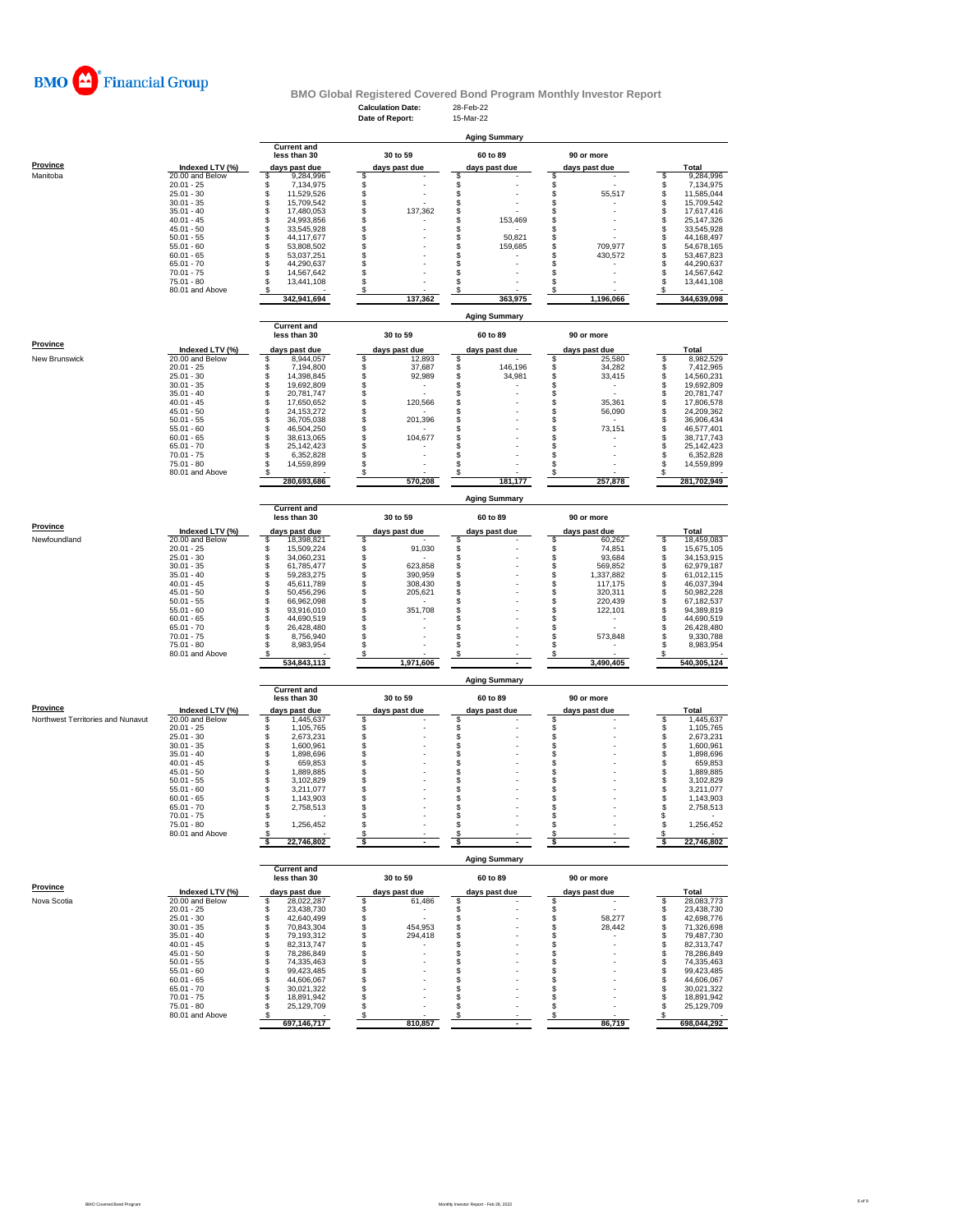

# **BMO Global Registered Covered Bond Program Monthly Investor Report**<br>Calculation Date: 28-Feb-22<br>Date of Report: 15-Mar-22

|                                   |                                    |                                        | <b>Calculation Date:</b><br>Date of Report: | 28-Feb-22<br>15-Mar-22  |                                |                                      |
|-----------------------------------|------------------------------------|----------------------------------------|---------------------------------------------|-------------------------|--------------------------------|--------------------------------------|
|                                   |                                    |                                        |                                             |                         |                                |                                      |
|                                   |                                    | <b>Current and</b>                     |                                             | <b>Aging Summary</b>    |                                |                                      |
|                                   |                                    | less than 30                           | 30 to 59                                    | 60 to 89                | 90 or more                     |                                      |
| <b>Province</b>                   | Indexed LTV (%)                    | days past due                          | days past due                               | days past due           | days past due                  | Total                                |
| Manitoba                          | 20.00 and Below<br>$20.01 - 25$    | \$<br>9,284,996<br>\$<br>7,134,975     | \$<br>\$                                    | \$<br>\$                | S<br>S<br>S                    | 9,284,996<br>\$<br>\$<br>7,134,975   |
|                                   | $25.01 - 30$                       | \$<br>11,529,526                       | \$                                          | \$                      | 55,517                         | \$<br>11,585,044                     |
|                                   | $30.01 - 35$<br>$35.01 - 40$       | \$<br>15,709,542<br>\$<br>17,480,053   | \$<br>\$<br>137,362                         | \$<br>\$                | \$<br>\$                       | \$<br>15,709,542<br>\$<br>17,617,416 |
|                                   | $40.01 - 45$                       | \$<br>24,993,856                       | \$                                          | \$<br>153,469           | \$                             | \$<br>25,147,326                     |
|                                   | $45.01 - 50$<br>$50.01 - 55$       | \$<br>33,545,928<br>\$                 | \$<br>\$                                    | \$<br>\$<br>50,821      | \$<br>\$                       | \$<br>33,545,928<br>\$<br>44,168,497 |
|                                   | $55.01 - 60$                       | 44,117,677<br>\$<br>53,808,502         | \$                                          | \$<br>159,685           | \$<br>709,977                  | \$<br>54,678,165                     |
|                                   | $60.01 - 65$                       | \$<br>53,037,251                       | \$                                          | \$                      | \$<br>430,572                  | s<br>53,467,823                      |
|                                   | $65.01 - 70$<br>$70.01 - 75$       | \$<br>44,290,637<br>\$<br>14,567,642   | \$<br>\$                                    | \$<br>\$                | \$<br>\$                       | \$<br>44,290,637<br>\$<br>14,567,642 |
|                                   | $75.01 - 80$                       | S<br>13,441,108                        | \$                                          | \$                      | \$                             | S<br>13,441,108                      |
|                                   | 80.01 and Above                    | s<br>342,941,694                       | S<br>137,362                                | S<br>363,975            | s<br>1,196,066                 | s<br>344,639,098                     |
|                                   |                                    |                                        |                                             |                         |                                |                                      |
|                                   |                                    | <b>Current and</b>                     |                                             | <b>Aging Summary</b>    |                                |                                      |
|                                   |                                    | less than 30                           | 30 to 59                                    | 60 to 89                | 90 or more                     |                                      |
| Province                          | Indexed LTV (%)                    | days past due                          | days past due                               | days past due           | days past due                  | Total                                |
| New Brunswick                     | 20.00 and Below                    | 8,944,057<br>\$                        | \$<br>12,893                                | \$                      | \$<br>25,580                   | 8,982,529<br>\$                      |
|                                   | $20.01 - 25$<br>$25.01 - 30$       | S<br>7,194,800<br>\$<br>14,398,845     | \$<br>37,687<br>\$<br>92,989                | \$<br>146,196<br>34,981 | s<br>S<br>34,282<br>33,415     | 7,412,965<br>\$<br>\$<br>14,560,231  |
|                                   | $30.01 - 35$                       | \$<br>19,692,809                       | \$<br>$\overline{\phantom{a}}$              | \$                      | \$<br>٠                        | \$<br>19,692,809                     |
|                                   | $35.01 - 40$                       | \$<br>20,781,747                       | \$                                          | \$                      | \$                             | \$<br>20,781,747                     |
|                                   | $40.01 - 45$<br>$45.01 - 50$       | \$<br>17,650,652<br>\$<br>24, 153, 272 | \$<br>120,566<br>\$                         | \$<br>\$                | \$<br>35,361<br>\$<br>56,090   | \$<br>17,806,578<br>\$<br>24,209,362 |
|                                   | $50.01 - 55$                       | \$<br>36,705,038                       | \$<br>201,396                               | \$                      | \$                             | \$<br>36,906,434                     |
|                                   | $55.01 - 60$                       | \$<br>46,504,250                       | \$                                          | \$                      | \$<br>73,151                   | \$<br>46,577,401                     |
|                                   | $60.01 - 65$<br>$65.01 - 70$       | \$<br>38,613,065<br>\$<br>25,142,423   | \$<br>104,677<br>\$                         | \$<br>\$                | \$<br>\$                       | \$<br>38,717,743<br>\$<br>25,142,423 |
|                                   | $70.01 - 75$                       | \$<br>6,352,828                        | \$                                          | \$                      | \$                             | $\mathbb{S}$<br>6,352,828            |
|                                   | $75.01 - 80$                       | S<br>14,559,899                        | \$                                          | \$                      | \$                             | \$<br>14,559,899                     |
|                                   | 80.01 and Above                    | 280,693,686                            | S<br>570,208                                | 181.177                 | s<br>257,878                   | s<br>281,702,949                     |
|                                   |                                    |                                        |                                             | <b>Aging Summary</b>    |                                |                                      |
|                                   |                                    | <b>Current and</b>                     |                                             |                         |                                |                                      |
|                                   |                                    | less than 30                           | 30 to 59                                    | 60 to 89                | 90 or more                     |                                      |
| Province                          | Indexed LTV (%)                    | days past due                          | days past due                               | days past due           | days past due                  | Total                                |
| Newfoundland                      | 20.00 and Below<br>$20.01 - 25$    | \$<br>18,398,821<br>\$<br>15,509,224   | \$<br>\$<br>91,030                          | S<br>\$                 | \$<br>60,262<br>\$<br>74,851   | 18,459,083<br>\$<br>\$<br>15,675,105 |
|                                   | $25.01 - 30$                       | \$<br>34,060,231                       | \$                                          | \$                      | \$<br>93,684                   | \$<br>34,153,915                     |
|                                   | $30.01 - 35$                       | \$<br>61,785,477                       | \$<br>623,858                               | \$                      | \$<br>569,852                  | \$<br>62,979,187                     |
|                                   | $35.01 - 40$                       | \$<br>59,283,275                       | \$<br>390,959                               | \$                      | \$<br>1,337,882                | \$<br>61,012,115                     |
|                                   | $40.01 - 45$<br>$45.01 - 50$       | S<br>45,611,789<br>\$<br>50,456,296    | \$<br>308,430<br>\$<br>205,621              | \$<br>\$                | \$<br>117,175<br>\$<br>320,311 | S<br>46,037,394<br>\$<br>50,982,228  |
|                                   | $50.01 - 55$                       | \$<br>66,962,098                       | \$                                          | \$                      | \$<br>220,439                  | \$<br>67,182,537                     |
|                                   | $55.01 - 60$                       | S<br>93,916,010                        | \$<br>351,708                               | \$                      | \$<br>122,101                  | S<br>94,389,819                      |
|                                   | $60.01 - 65$<br>$65.01 - 70$       | \$<br>44,690,519<br>\$<br>26,428,480   | \$<br>\$                                    | \$<br>\$                | \$<br>\$                       | \$<br>44,690,519<br>\$<br>26,428,480 |
|                                   | $70.01 - 75$                       | \$<br>8,756,940                        | \$                                          | \$                      | \$<br>573,848                  | \$<br>9,330,788                      |
|                                   | $75.01 - 80$                       | 8,983,954<br>S                         | \$                                          | \$                      | \$<br>S                        | S<br>8,983,954                       |
|                                   | 80.01 and Above                    | 534,843,113                            | S<br>1,971,606                              | S<br>$\blacksquare$     | 3,490,405                      | s<br>540,305,124                     |
|                                   |                                    |                                        |                                             | <b>Aging Summary</b>    |                                |                                      |
|                                   |                                    | <b>Current and</b>                     |                                             |                         |                                |                                      |
| Province                          |                                    | less than 30                           | 30 to 59                                    | 60 to 89                | 90 or more                     |                                      |
| Northwest Territories and Nunavut | Indexed LTV (%)<br>20.00 and Below | days past due<br>1,445,637<br>S        | days past due<br>\$                         | days past due<br>\$     | days past due<br>\$            | Total<br>\$<br>1,445,637             |
|                                   | $20.01 - 25$                       | \$<br>1,105,765                        | \$                                          | \$                      | \$                             | \$<br>1,105,765                      |
|                                   | $25.01 - 30$                       | \$<br>2,673,231                        | \$                                          | \$                      | \$                             | \$<br>2,673,231                      |
|                                   | $30.01 - 35$<br>$35.01 - 40$       | \$<br>1,600,961<br>\$<br>1,898,696     | \$<br>\$                                    | \$<br>\$                | \$                             | \$<br>1,600,961<br>\$<br>1,898,696   |
|                                   | $40.01 - 45$                       | \$<br>659,853                          | \$                                          | \$                      | \$                             | \$<br>659,853                        |
|                                   | $45.01 - 50$                       | \$<br>1,889,885                        | \$                                          | \$                      | \$                             | \$<br>1,889,885                      |
|                                   | $50.01 - 55$<br>$55.01 - 60$       | S<br>3.102.829<br>\$<br>3,211,077      | \$<br>\$                                    | \$<br>\$                | \$<br>\$                       | \$<br>3.102.829<br>\$<br>3,211,077   |
|                                   | $60.01 - 65$                       | \$<br>1,143,903                        | S                                           | S                       | s                              | S<br>1,143,903                       |
|                                   | $65.01 - 70$                       | \$<br>2,758,513                        | \$                                          | \$                      | \$                             | \$<br>2,758,513                      |
|                                   | $70.01 - 75$<br>$75.01 - 80$       | \$<br>\$<br>1,256,452                  | \$<br>\$                                    | \$<br>\$                | \$<br>\$                       | \$<br>\$<br>1,256,452                |
|                                   | 80.01 and Above                    | s                                      | S                                           | S                       | \$                             | S                                    |
|                                   |                                    | 22,746,802<br>s                        | \$                                          | \$                      | ŝ                              | 22,746,802<br>-S                     |
|                                   |                                    |                                        |                                             | <b>Aging Summary</b>    |                                |                                      |
|                                   |                                    | <b>Current and</b><br>less than 30     | 30 to 59                                    | 60 to 89                | 90 or more                     |                                      |
| <b>Province</b>                   | Indexed LTV (%)                    | days past due                          | days past due                               | days past due           | days past due                  | Total                                |
| Nova Scotia                       | 20.00 and Below                    | 28,022,287<br>\$                       | \$<br>61,486                                | \$                      | \$                             | 28,083,773<br>\$                     |
|                                   | $20.01 - 25$                       | \$<br>23,438,730                       | \$<br>$\sim$                                | \$                      | \$                             | 23,438,730<br>\$                     |
|                                   | $25.01 - 30$<br>$30.01 - 35$       | 42,640,499<br>\$<br>\$<br>70,843,304   | \$<br>\$<br>454,953                         | \$<br>\$                | \$<br>58,277<br>\$<br>28,442   | 42,698,776<br>\$<br>\$<br>71,326,698 |
|                                   | $35.01 - 40$                       | \$<br>79,193,312                       | \$<br>294,418                               | \$                      | \$<br>٠                        | \$<br>79,487,730                     |
|                                   | $40.01 - 45$                       | \$<br>82,313,747                       | \$                                          | \$                      | \$                             | \$<br>82,313,747                     |
|                                   | $45.01 - 50$<br>$50.01 - 55$       | \$<br>78,286,849<br>\$<br>74,335,463   | \$<br>\$                                    | \$<br>\$                | \$<br>\$                       | \$<br>78,286,849<br>\$<br>74,335,463 |
|                                   | $55.01 - 60$                       | \$<br>99,423,485                       | \$                                          | \$                      | \$                             | \$<br>99,423,485                     |
|                                   | $60.01 - 65$                       | 44,606,067<br>\$                       | \$                                          | \$                      | \$                             | 44,606,067<br>\$                     |
|                                   | $65.01 - 70$                       | \$<br>30,021,322                       | \$                                          | \$                      | \$                             | \$<br>30,021,322                     |
|                                   | $70.01 - 75$<br>75.01 - 80         | 18,891,942<br>\$<br>\$<br>25,129,709   | \$<br>\$                                    | \$<br>\$                | \$<br>\$                       | 18,891,942<br>\$<br>S<br>25,129,709  |
|                                   | 80.01 and Above                    | S<br>697,146,717                       | \$<br>810,857                               | \$                      | s<br>86,719                    | S<br>698,044,292                     |
|                                   |                                    |                                        |                                             |                         |                                |                                      |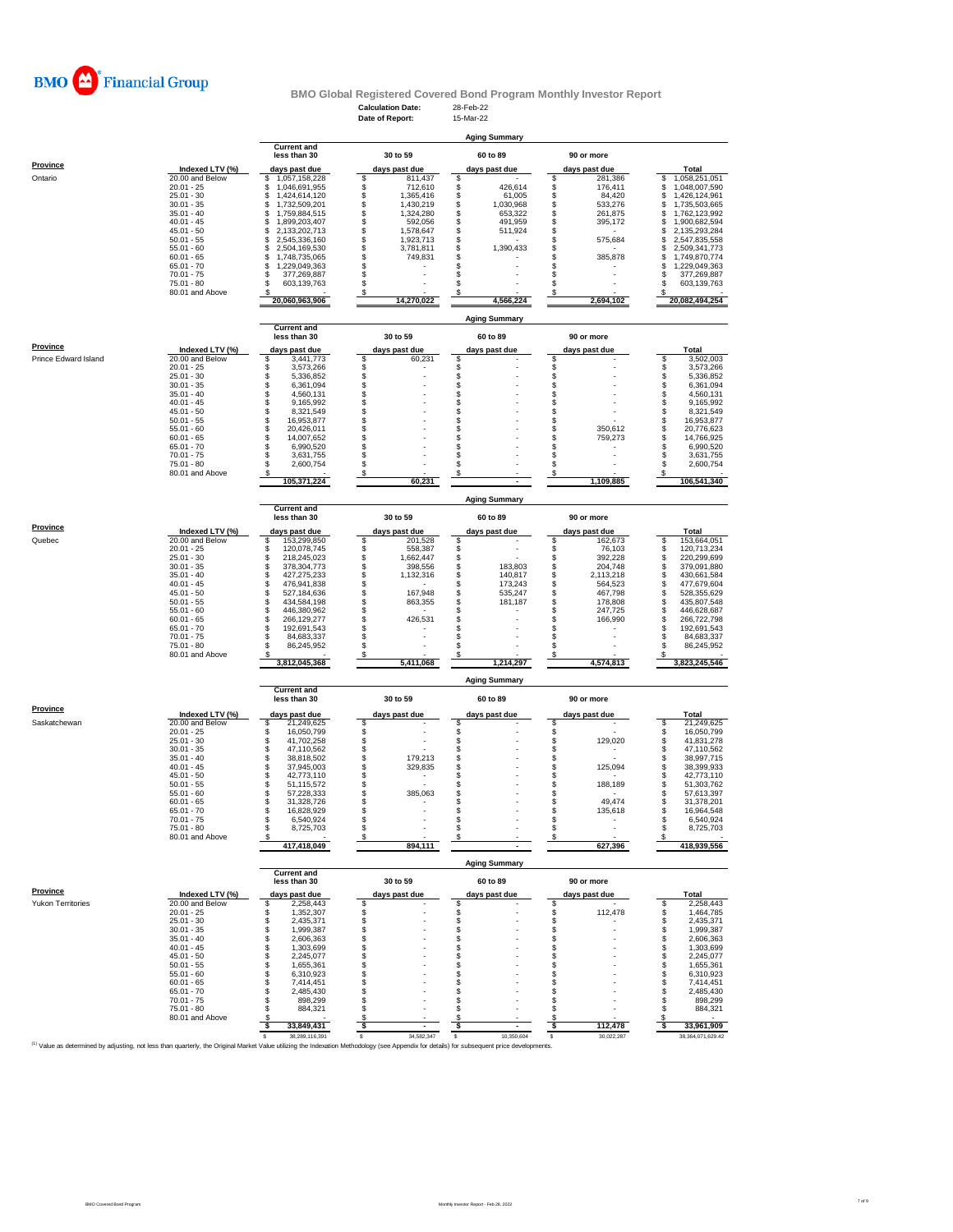

# **BMO Global Registered Covered Bond Program Monthly Investor Report**<br>Calculation Date: 28-Feb-22<br>Date of Report: 15-Mar-22

|                                                                                                                                                                                             |                                 |                                            | <b>Calculation Date:</b><br>Date of Report: | 28-Feb-22<br>15-Mar-22         |                                  |                                            |
|---------------------------------------------------------------------------------------------------------------------------------------------------------------------------------------------|---------------------------------|--------------------------------------------|---------------------------------------------|--------------------------------|----------------------------------|--------------------------------------------|
|                                                                                                                                                                                             |                                 |                                            |                                             |                                |                                  |                                            |
|                                                                                                                                                                                             |                                 |                                            |                                             | <b>Aging Summary</b>           |                                  |                                            |
|                                                                                                                                                                                             |                                 | <b>Current and</b><br>less than 30         | 30 to 59                                    | 60 to 89                       | 90 or more                       |                                            |
| <b>Province</b>                                                                                                                                                                             | Indexed LTV (%)                 | days past due                              | days past due                               | days past due                  | days past due                    | Total                                      |
| Ontario                                                                                                                                                                                     | 20.00 and Below                 | 1,057,158,228<br>\$                        | \$<br>811,437                               | \$                             | 281,386<br>\$                    | 1,058,251,051<br>\$                        |
|                                                                                                                                                                                             | $20.01 - 25$<br>$25.01 - 30$    | \$<br>1,046,691,955<br>1,424,614,120<br>\$ | \$<br>712,610<br>\$<br>1,365,416            | 426,614<br>\$<br>61,005        | 176,411<br>\$<br>84,420          | \$<br>1,048,007,590<br>\$<br>1,426,124,961 |
|                                                                                                                                                                                             | $30.01 - 35$                    | \$<br>1,732,509,201                        | \$<br>1,430,219                             | \$<br>1,030,968                | 533,276<br>\$                    | 1,735,503,665<br>\$                        |
|                                                                                                                                                                                             | $35.01 - 40$<br>$40.01 - 45$    | \$<br>1,759,884,515<br>\$<br>1,899,203,407 | \$<br>1,324,280<br>592,056                  | \$<br>653,322<br>\$<br>491,959 | \$<br>261.875<br>\$<br>395,172   | \$<br>1,762,123,992<br>\$<br>1,900,682,594 |
|                                                                                                                                                                                             | $45.01 - 50$                    | \$<br>2,133,202,713                        | \$<br>1,578,647                             | \$<br>511,924                  | \$                               | \$<br>2,135,293,284                        |
|                                                                                                                                                                                             | $50.01 - 55$                    | \$<br>2,545,336,160                        | \$<br>1,923,713                             | \$                             | \$<br>575,684                    | \$<br>2,547,835,558                        |
|                                                                                                                                                                                             | $55.01 - 60$<br>$60.01 - 65$    | \$<br>2,504,169,530<br>\$<br>1,748,735,065 | \$<br>3,781,811<br>\$<br>749,831            | \$<br>1,390,433<br>\$          | \$<br>s<br>385,878               | \$<br>2,509,341,773<br>S<br>1,749,870,774  |
|                                                                                                                                                                                             | $65.01 - 70$                    | \$<br>1,229,049,363                        | \$                                          | \$                             | s                                | \$<br>1,229,049,363                        |
|                                                                                                                                                                                             | $70.01 - 75$<br>$75.01 - 80$    | \$<br>377,269,887<br>S                     | \$<br>\$                                    | \$<br>\$                       | s<br>s                           | 377,269,887<br>S<br>S                      |
|                                                                                                                                                                                             | 80.01 and Above                 | 603,139,763                                |                                             |                                |                                  | 603,139,763                                |
|                                                                                                                                                                                             |                                 | 20,060,963,906                             | 14,270,022                                  | 4,566,224                      | 2,694,102                        | 20,082,494,254                             |
|                                                                                                                                                                                             |                                 |                                            |                                             | <b>Aging Summary</b>           |                                  |                                            |
|                                                                                                                                                                                             |                                 | <b>Current and</b>                         |                                             |                                |                                  |                                            |
|                                                                                                                                                                                             |                                 | less than 30                               | 30 to 59                                    | 60 to 89                       | 90 or more                       |                                            |
| Province                                                                                                                                                                                    | Indexed LTV (%)                 | days past due                              | days past due                               | days past due                  | days past due                    | Total                                      |
| Prince Edward Island                                                                                                                                                                        | 20.00 and Below<br>$20.01 - 25$ | 3,441,773<br>\$<br>\$<br>3,573,266         | \$<br>60,231                                | \$                             | \$                               | \$<br>3,502,003<br>\$<br>3,573,266         |
|                                                                                                                                                                                             | $25.01 - 30$                    | \$<br>5,336,852                            | \$\$                                        | \$                             | \$                               | \$<br>5,336,852                            |
|                                                                                                                                                                                             | $30.01 - 35$<br>$35.01 - 40$    | \$<br>6,361,094                            |                                             | \$                             | \$                               | 6,361,094                                  |
|                                                                                                                                                                                             | $40.01 - 45$                    | \$<br>4,560,131<br>9,165,992               | \$                                          | \$<br>\$                       | \$<br>\$                         | \$<br>4,560,131<br>\$<br>9,165,992         |
|                                                                                                                                                                                             | $45.01 - 50$                    | \$<br>8,321,549                            | \$                                          | \$                             | s                                | \$<br>8,321,549                            |
|                                                                                                                                                                                             | $50.01 - 55$<br>$55.01 - 60$    | \$<br>16,953,877<br>\$<br>20,426,011       | \$<br>\$                                    | \$<br>\$                       | \$<br>350,612                    | \$<br>16,953,877<br>\$                     |
|                                                                                                                                                                                             | $60.01 - 65$                    | \$<br>14,007,652                           | \$                                          | \$                             | \$<br>759,273<br>s               | 20,776,623<br>\$<br>14,766,925             |
|                                                                                                                                                                                             | $65.01 - 70$                    | \$<br>6,990,520                            | Ś                                           | \$                             | s                                | \$<br>6,990,520                            |
|                                                                                                                                                                                             | 70.01 - 75<br>75.01 - 80        | \$<br>3,631,755<br>\$<br>2,600,754         | \$<br>\$                                    | \$<br>\$                       | \$<br>\$                         | \$<br>3,631,755<br>\$<br>2,600,754         |
|                                                                                                                                                                                             | 80.01 and Above                 | s                                          | S                                           | \$                             | s                                | \$                                         |
|                                                                                                                                                                                             |                                 | 105,371,224                                | 60,231                                      |                                | 1.109.885                        | 106,541,340                                |
|                                                                                                                                                                                             |                                 |                                            |                                             | <b>Aging Summary</b>           |                                  |                                            |
|                                                                                                                                                                                             |                                 | <b>Current and</b>                         |                                             |                                |                                  |                                            |
|                                                                                                                                                                                             |                                 | less than 30                               | 30 to 59                                    | 60 to 89                       | 90 or more                       |                                            |
| <b>Province</b>                                                                                                                                                                             | Indexed LTV (%)                 | days past due                              | days past due                               | days past due                  | days past due                    | <b>Total</b>                               |
| Quebec                                                                                                                                                                                      | 20.00 and Below<br>$20.01 - 25$ | \$<br>153,299,850<br>\$<br>120,078,745     | \$<br>201,528<br>\$<br>558,387              | \$<br>\$                       | s<br>162,673<br>\$<br>76,103     | s<br>153,664,051<br>\$<br>120,713,234      |
|                                                                                                                                                                                             | $25.01 - 30$                    | \$<br>218,245,023                          | \$<br>1,662,447                             | \$                             | \$<br>392,228                    | \$<br>220,299,699                          |
|                                                                                                                                                                                             | $30.01 - 35$                    | \$<br>378,304,773                          | \$<br>398,556                               | \$<br>183,803                  | \$<br>204,748                    | \$<br>379,091,880                          |
|                                                                                                                                                                                             | $35.01 - 40$<br>$40.01 - 45$    | \$<br>427,275,233<br>\$<br>476,941,838     | \$<br>1,132,316<br>\$                       | \$<br>140,817<br>\$<br>173,243 | \$<br>2,113,218<br>\$<br>564,523 | \$<br>430,661,584<br>\$<br>477,679,604     |
|                                                                                                                                                                                             | $45.01 - 50$                    | \$<br>527,184,636                          | \$<br>167,948                               | \$<br>535,247                  | \$<br>467,798                    | \$<br>528,355,629                          |
|                                                                                                                                                                                             | $50.01 - 55$                    | \$<br>434,584,198                          | \$<br>863,355                               | \$<br>181,187                  | \$<br>178,808                    | \$<br>435,807,548                          |
|                                                                                                                                                                                             | $55.01 - 60$<br>$60.01 - 65$    | \$<br>446,380,962<br>\$<br>266,129,277     | \$<br>426,531                               | \$<br>\$                       | \$<br>247,725<br>s<br>166,990    | \$<br>446,628,687<br>\$<br>266,722,798     |
|                                                                                                                                                                                             | $65.01 - 70$                    | \$<br>192,691,543                          | \$                                          | \$                             | \$                               | \$<br>192,691,543                          |
|                                                                                                                                                                                             | $70.01 - 75$                    | \$<br>84,683,337                           | \$                                          | \$                             | \$                               | \$<br>84,683,337                           |
|                                                                                                                                                                                             | 75.01 - 80<br>80.01 and Above   | s<br>86,245,952<br>s                       | \$<br>\$                                    | \$<br>\$                       | \$<br>s                          | \$<br>86,245,952<br>S                      |
|                                                                                                                                                                                             |                                 | 3,812,045,368                              | 5,411,068                                   | 1,214,297                      | 4,574,813                        | 3,823,245,546                              |
|                                                                                                                                                                                             |                                 |                                            |                                             |                                |                                  |                                            |
|                                                                                                                                                                                             |                                 | <b>Current and</b>                         |                                             | <b>Aging Summary</b>           |                                  |                                            |
|                                                                                                                                                                                             |                                 | less than 30                               | 30 to 59                                    | 60 to 89                       | 90 or more                       |                                            |
| <b>Province</b>                                                                                                                                                                             | Indexed LTV (%)                 | days past due                              | days past due                               | days past due                  | days past due                    | <b>Total</b>                               |
| Saskatchewan                                                                                                                                                                                | 20.00 and Below                 | 21,249,625<br>s                            | \$                                          | S                              | S                                | 21,249,625<br>\$                           |
|                                                                                                                                                                                             | $20.01 - 25$<br>$25.01 - 30$    | \$<br>16,050,799<br>\$<br>41,702,258       | \$                                          | \$<br>\$                       | \$<br>\$<br>129,020              | 16,050,799<br>\$<br>\$<br>41,831,278       |
|                                                                                                                                                                                             | $30.01 - 35$                    | \$<br>47,110,562                           | \$                                          | \$                             | \$                               | \$<br>47,110,562                           |
|                                                                                                                                                                                             | $35.01 - 40$                    | \$<br>38,818,502                           | \$<br>179,213                               | \$                             | \$                               | \$<br>38,997,715                           |
|                                                                                                                                                                                             | $40.01 - 45$<br>$45.01 - 50$    | \$<br>37,945,003<br>\$<br>42,773,110       | \$<br>329,835<br>\$                         | \$<br>\$                       | \$<br>125,094<br>\$              | S<br>38,399,933<br>\$<br>42,773,110        |
|                                                                                                                                                                                             | $50.01 - 55$                    | \$<br>51,115,572                           | \$                                          | \$                             | \$<br>188,189                    | S<br>51,303,762                            |
|                                                                                                                                                                                             | $55.01 - 60$<br>60.01 - 65      | \$<br>57,228,333<br>31 328 726             | 385,063<br>\$                               | \$                             | \$<br>49,474                     | s<br>57,613,397<br>31 378 201              |
|                                                                                                                                                                                             | $65.01 - 70$                    | s<br>16,828,929                            | \$                                          | \$                             | \$<br>135,618                    | \$<br>16,964,548                           |
|                                                                                                                                                                                             | $70.01 - 75$                    | \$<br>6,540,924                            | \$                                          | \$                             | \$                               | \$<br>6,540,924                            |
|                                                                                                                                                                                             | 75.01 - 80<br>80.01 and Above   | \$<br>8,725,703                            | \$<br>\$                                    | \$<br>S                        | \$<br>$\overline{a}$<br>\$       | \$<br>8,725,703<br>\$                      |
|                                                                                                                                                                                             |                                 | 417,418,049                                | 894,111                                     |                                | 627,396                          | 418,939,556                                |
|                                                                                                                                                                                             |                                 |                                            |                                             |                                |                                  |                                            |
|                                                                                                                                                                                             |                                 |                                            |                                             | <b>Aging Summary</b>           |                                  |                                            |
|                                                                                                                                                                                             |                                 |                                            |                                             |                                |                                  |                                            |
|                                                                                                                                                                                             |                                 | <b>Current and</b><br>less than 30         | 30 to 59                                    | 60 to 89                       | 90 or more                       |                                            |
| <b>Province</b>                                                                                                                                                                             | Indexed LTV (%)                 | days past due                              | days past due                               | days past due                  | days past due                    | Total                                      |
| Yukon Territories                                                                                                                                                                           | 20.00 and Below                 | \$<br>2,258,443                            | \$                                          | \$                             | \$                               | 2,258,443<br>S                             |
|                                                                                                                                                                                             | $20.01 - 25$                    | \$<br>1,352,307                            | \$                                          | \$                             | \$<br>112,478                    | \$<br>1,464,785                            |
|                                                                                                                                                                                             | $25.01 - 30$<br>$30.01 - 35$    | \$<br>2,435,371<br>\$<br>1.999.387         | \$<br>\$                                    | \$<br>\$                       | \$<br>\$                         | \$<br>2,435,371<br>\$<br>1,999,387         |
|                                                                                                                                                                                             | $35.01 - 40$                    | \$<br>2,606,363                            | \$                                          | \$                             | \$<br>÷,                         | \$<br>2,606,363                            |
|                                                                                                                                                                                             | $40.01 - 45$                    | \$<br>1,303,699                            | \$                                          | \$                             | \$<br>s                          | \$<br>1,303,699                            |
|                                                                                                                                                                                             | $45.01 - 50$<br>$50.01 - 55$    | \$<br>2,245,077<br>\$<br>1,655,361         | \$<br>\$                                    | \$<br>\$                       | s                                | \$<br>2,245,077<br>\$<br>1,655,361         |
|                                                                                                                                                                                             | $55.01 - 60$                    | \$<br>6,310,923                            | \$                                          | \$                             | s                                | \$<br>6,310,923                            |
|                                                                                                                                                                                             | $60.01 - 65$                    | \$<br>7,414,451                            | \$                                          | \$<br>\$                       | \$<br>S                          | \$<br>7,414,451                            |
|                                                                                                                                                                                             | $65.01 - 70$<br>$70.01 - 75$    | \$<br>2,485,430<br>\$<br>898,299           | \$<br>\$                                    | \$                             | \$                               | \$<br>2,485,430<br>\$<br>898.299           |
|                                                                                                                                                                                             | 75.01 - 80                      | \$<br>884,321                              | \$                                          | \$                             | s                                | 884,321<br>£                               |
|                                                                                                                                                                                             | 80.01 and Above                 | s<br>33,849,431<br>-S                      | S<br>ŝ.                                     | S<br>ŝ.                        | s<br>112,478<br>-S               | S<br>-S                                    |
| (1) Value as determined by adjusting, not less than quarterly, the Original Market Value utilizing the Indexation Methodology (see Appendix for details) for subsequent price developments. |                                 | 38,289,116,391                             | 34,582,347<br>s                             | 10,350,604<br>s                | 30,022,287<br>s                  | 33,961,909<br>38, 364, 071, 629.42         |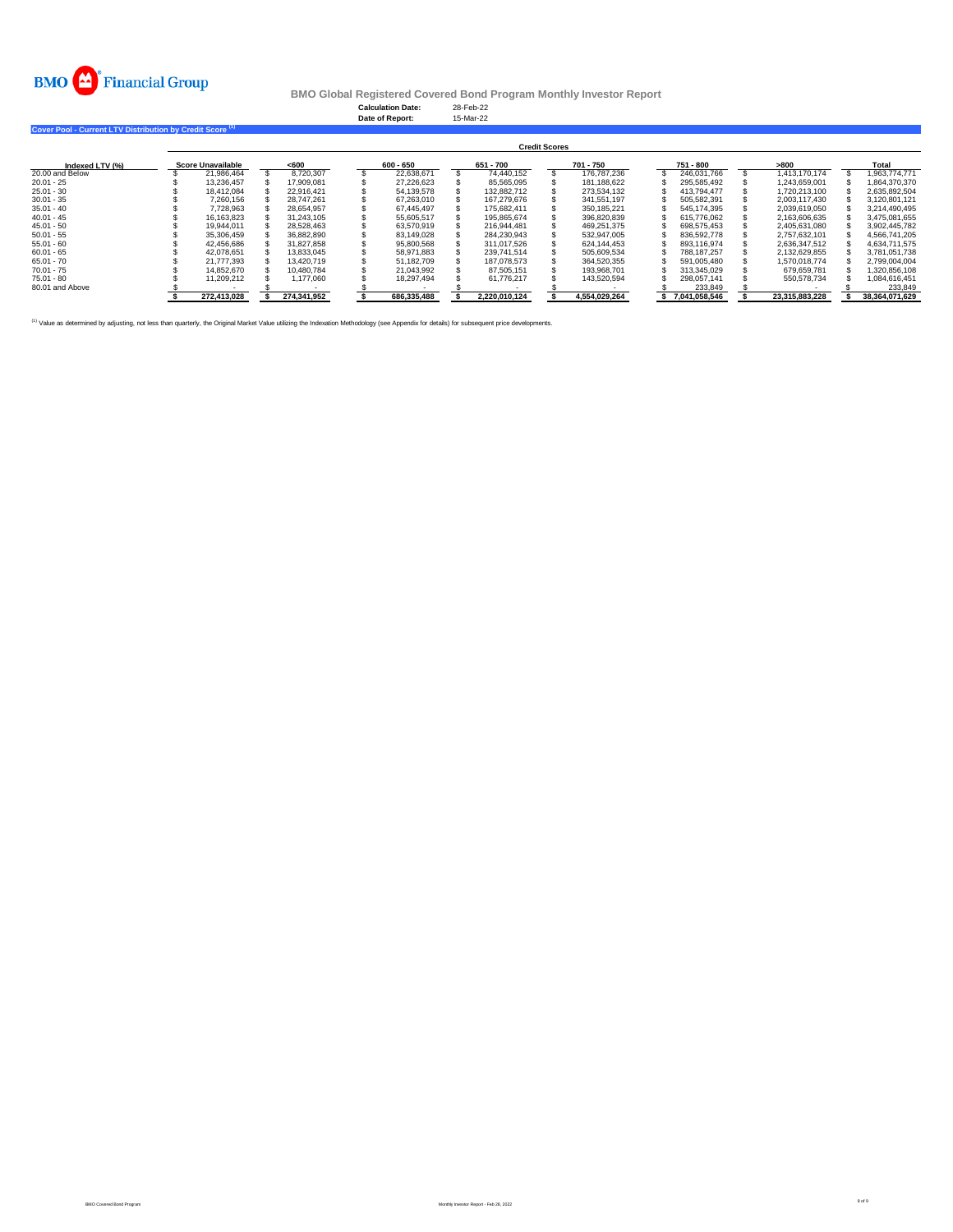

**Calculation Date:** 28-Feb-22 **Date of Report:** 15-Mar-22

**Cover Pool - Current LTV Distribution by Credit Score (1)** 

|                 | <b>Credit Scores</b>     |             |       |             |  |             |  |               |  |               |  |               |  |                |  |                |  |
|-----------------|--------------------------|-------------|-------|-------------|--|-------------|--|---------------|--|---------------|--|---------------|--|----------------|--|----------------|--|
| Indexed LTV (%) | <b>Score Unavailable</b> |             | < 600 |             |  | 600 - 650   |  | 651 - 700     |  | 701 - 750     |  | 751 - 800     |  | >800           |  | Total          |  |
| 20.00 and Below |                          | 21.986.464  |       | 8.720.307   |  | 22.638.671  |  | 74.440.152    |  | 176,787,236   |  | 246.031.766   |  | 1.413.170.174  |  | 1.963.774.771  |  |
| $20.01 - 25$    |                          | 13.236.457  |       | 17.909.081  |  | 27.226.623  |  | 85.565.095    |  | 181.188.622   |  | 295.585.492   |  | 1.243.659.001  |  | 1.864.370.370  |  |
| $25.01 - 30$    |                          | 18.412.084  |       | 22.916.421  |  | 54.139.578  |  | 132.882.712   |  | 273.534.132   |  | 413.794.477   |  | 1.720.213.100  |  | 2.635.892.504  |  |
| $30.01 - 35$    |                          | 7.260.156   |       | 28.747.261  |  | 67.263.010  |  | 167.279.676   |  | 341.551.197   |  | 505.582.391   |  | 2.003.117.430  |  | 3.120.801.121  |  |
| $35.01 - 40$    |                          | 7.728.963   |       | 28.654.957  |  | 67.445.497  |  | 175.682.411   |  | 350.185.221   |  | 545.174.395   |  | 2.039.619.050  |  | 3.214.490.495  |  |
| $40.01 - 45$    |                          | 16.163.823  |       | 31.243.105  |  | 55.605.517  |  | 195.865.674   |  | 396.820.839   |  | 615.776.062   |  | 2.163.606.635  |  | 3.475.081.655  |  |
| $45.01 - 50$    |                          | 19.944.011  |       | 28.528.463  |  | 63.570.919  |  | 216.944.481   |  | 469.251.375   |  | 698.575.453   |  | 2.405.631.080  |  | 3.902.445.782  |  |
| $50.01 - 55$    |                          | 35.306.459  |       | 36.882.890  |  | 83.149.028  |  | 284.230.943   |  | 532.947.005   |  | 836.592.778   |  | 2.757.632.101  |  | 4.566.741.205  |  |
| $55.01 - 60$    |                          | 42.456.686  |       | 31.827.858  |  | 95,800,568  |  | 311.017.526   |  | 624.144.453   |  | 893.116.974   |  | 2.636.347.512  |  | 4.634.711.575  |  |
| $60.01 - 65$    |                          | 42.078.651  |       | 13.833.045  |  | 58.971.883  |  | 239.741.514   |  | 505.609.534   |  | 788.187.257   |  | 2.132.629.855  |  | 3.781.051.738  |  |
| $65.01 - 70$    |                          | 21.777.393  |       | 13.420.719  |  | 51.182.709  |  | 187.078.573   |  | 364.520.355   |  | 591.005.480   |  | 1.570.018.774  |  | 2.799.004.004  |  |
| $70.01 - 75$    |                          | 14.852.670  |       | 10.480.784  |  | 21.043.992  |  | 87.505.151    |  | 193.968.701   |  | 313.345.029   |  | 679.659.781    |  | 1,320,856,108  |  |
| $75.01 - 80$    |                          | 11,209,212  |       | 1.177.060   |  | 18.297.494  |  | 61.776.217    |  | 143.520.594   |  | 298.057.141   |  | 550.578.734    |  | 1,084,616,451  |  |
| 80.01 and Above |                          |             |       |             |  |             |  |               |  |               |  | 233.849       |  |                |  | 233,849        |  |
|                 |                          | 272,413,028 |       | 274,341,952 |  | 686,335,488 |  | 2,220,010,124 |  | 4,554,029,264 |  | 7,041,058,546 |  | 23,315,883,228 |  | 38,364,071,629 |  |

<sup>(1)</sup> Value as determined by adjusting, not less than quarterly, the Original Market Value utilizing the Indexation Methodology (see Appendix for details) for subsequent price developments.